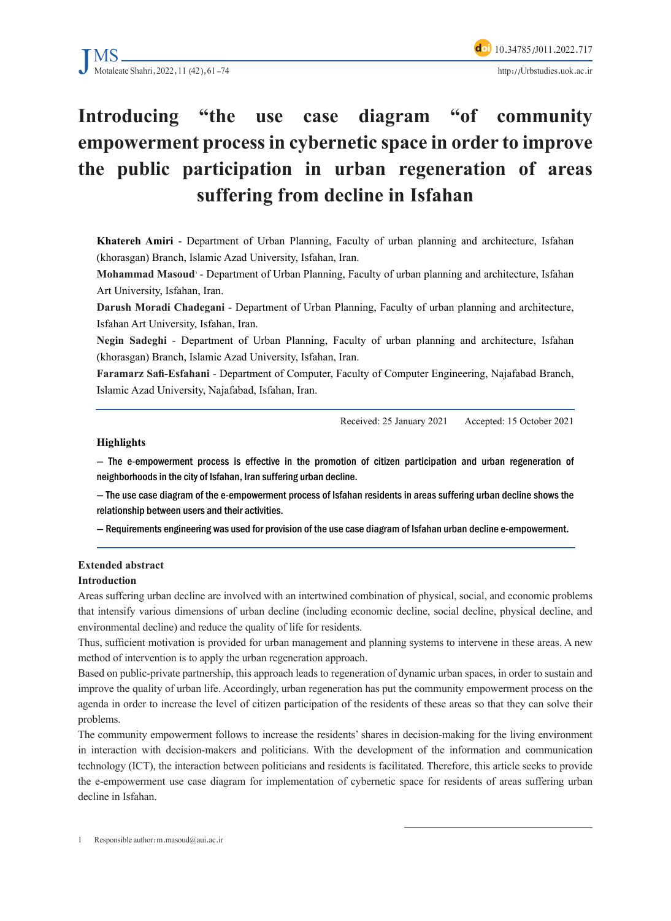

# Introducing "the use case diagram "of community" **empowerment process in cybernetic space in order to improve** the public participation in urban regeneration of areas suffering from decline in Isfahan

Khatereh Amiri - Department of Urban Planning, Faculty of urban planning and architecture, Isfahan (khorasgan) Branch, Islamic Azad University, Isfahan, Iran.

**Mohammad Masoud** - Department of Urban Planning, Faculty of urban planning and architecture, Isfahan Art University, Isfahan, Iran.

Darush Moradi Chadegani - Department of Urban Planning, Faculty of urban planning and architecture, Isfahan Art University, Isfahan, Iran.

Negin Sadeghi - Department of Urban Planning, Faculty of urban planning and architecture, Isfahan (khorasgan) Branch, Islamic Azad University, Isfahan, Iran.

Faramarz Safi-Esfahani - Department of Computer, Faculty of Computer Engineering, Najafabad Branch, Islamic Azad University, Najafabad, Isfahan, Iran.

Received: 25 January 2021 Accepted: 15 October 2021

#### **Highlights**

 $-$  The e-empowerment process is effective in the promotion of citizen participation and urban regeneration of neighborhoods in the city of Isfahan, Iran suffering urban decline.

- The use case diagram of the e-empowerment process of Isfahan residents in areas suffering urban decline shows the relationship between users and their activities.

- Requirements engineering was used for provision of the use case diagram of Isfahan urban decline e-empowerment.

# **Extended** abstract

#### **Introduction**

Areas suffering urban decline are involved with an intertwined combination of physical, social, and economic problems that intensify various dimensions of urban decline (including economic decline, social decline, physical decline, and environmental decline) and reduce the quality of life for residents.

Thus, sufficient motivation is provided for urban management and planning systems to intervene in these areas. A new method of intervention is to apply the urban regeneration approach.

Based on public-private partnership, this approach leads to regeneration of dynamic urban spaces, in order to sustain and improve the quality of urban life. Accordingly, urban regeneration has put the community empowerment process on the agenda in order to increase the level of citizen participation of the residents of these areas so that they can solve their problems.

The community empowerment follows to increase the residents' shares in decision-making for the living environment in interaction with decision-makers and politicians. With the development of the information and communication technology (ICT), the interaction between politicians and residents is facilitated. Therefore, this article seeks to provide the e-empowerment use case diagram for implementation of cybernetic space for residents of areas suffering urban decline in Isfahan.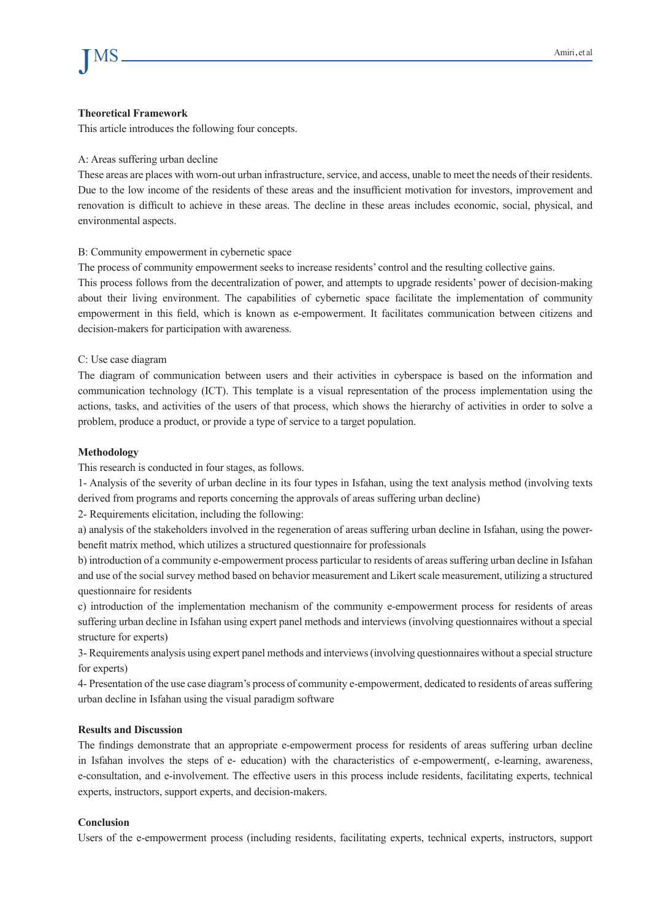#### **Framework Theoretical**

This article introduces the following four concepts.

#### A: Areas suffering urban decline

These areas are places with worn-out urban infrastructure, service, and access, unable to meet the needs of their residents. Due to the low income of the residents of these areas and the insufficient motivation for investors, improvement and renovation is difficult to achieve in these areas. The decline in these areas includes economic, social, physical, and environmental aspects.

#### B: Community empowerment in cybernetic space

The process of community empowerment seeks to increase residents' control and the resulting collective gains.

This process follows from the decentralization of power, and attempts to upgrade residents' power of decision-making about their living environment. The capabilities of cybernetic space facilitate the implementation of community empowerment in this field, which is known as e-empowerment. It facilitates communication between citizens and decision-makers for participation with awareness.

#### C: Use case diagram

The diagram of communication between users and their activities in cyberspace is based on the information and communication technology (ICT). This template is a visual representation of the process implementation using the actions, tasks, and activities of the users of that process, which shows the hierarchy of activities in order to solve a problem, produce a product, or provide a type of service to a target population.

#### **Methodology**

This research is conducted in four stages, as follows.

1- Analysis of the severity of urban decline in its four types in Isfahan, using the text analysis method (involving texts derived from programs and reports concerning the approvals of areas suffering urban decline)

2- Requirements elicitation, including the following:

a) analysis of the stakeholders involved in the regeneration of areas suffering urban decline in Isfahan, using the power-<br>benefit matrix method, which utilizes a structured questionnaire for professionals

b) introduction of a community e-empowerment process particular to residents of areas suffering urban decline in Isfahan and use of the social survey method based on behavior measurement and Likert scale measurement, utilizing a structured questionnaire for residents

c) introduction of the implementation mechanism of the community e-empowerment process for residents of areas suffering urban decline in Isfahan using expert panel methods and interviews (involving questionnaires without a special structure for experts)

3- Requirements analysis using expert panel methods and interviews (involving questionnaires without a special structure for experts)

4- Presentation of the use case diagram's process of community e-empowerment, dedicated to residents of areas suffering urban decline in Isfahan using the visual paradigm software

#### **Results and Discussion**

The findings demonstrate that an appropriate e-empowerment process for residents of areas suffering urban decline in Isfahan involves the steps of e- education) with the characteristics of e-empowerment(, e-learning, awareness, e-consultation, and e-involvement. The effective users in this process include residents, facilitating experts, technical experts, instructors, support experts, and decision-makers.

#### **Conclusion**

Users of the e-empowerment process (including residents, facilitating experts, technical experts, instructors, support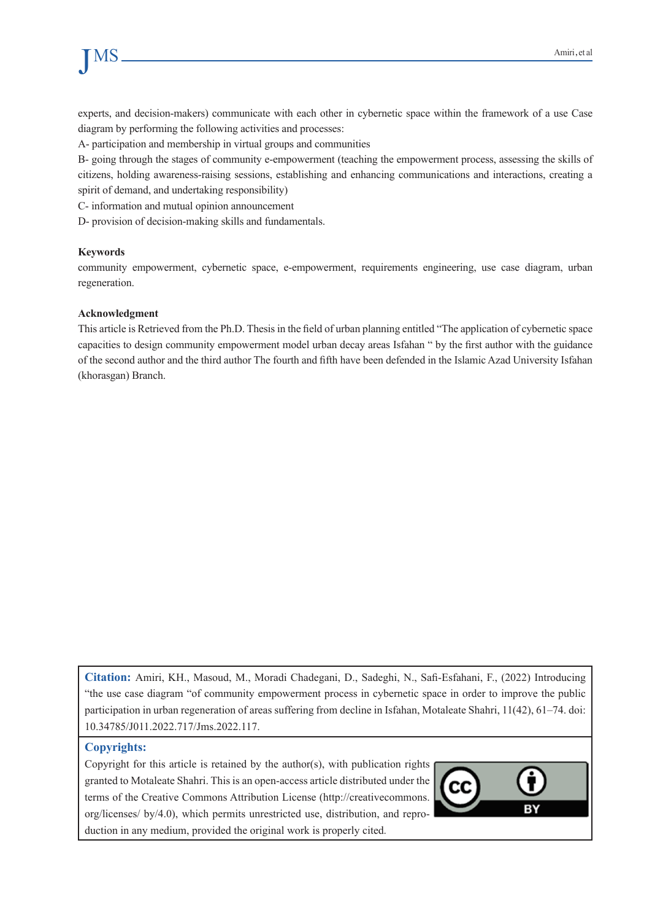# JMS

experts, and decision-makers) communicate with each other in cybernetic space within the framework of a use Case diagram by performing the following activities and processes:

A- participation and membership in virtual groups and communities

B- going through the stages of community e-empowerment (teaching the empowerment process, assessing the skills of citizens, holding awareness-raising sessions, establishing and enhancing communications and interactions, creating a spirit of demand, and undertaking responsibility)

C- information and mutual opinion announcement

D- provision of decision-making skills and fundamentals.

#### **Keywords**

community empowerment, cybernetic space, e-empowerment, requirements engineering, use case diagram, urban regeneration.

#### **Acknowledgment**

This article is Retrieved from the Ph.D. Thesis in the field of urban planning entitled "The application of cybernetic space capacities to design community empowerment model urban decay areas Isfahan " by the first author with the guidance of the second author and the third author The fourth and fifth have been defended in the Islamic Azad University Isfahan (khorasgan) Branch.

Citation: Amiri, KH., Masoud, M., Moradi Chadegani, D., Sadeghi, N., Safi-Esfahani, F., (2022) Introducing "the use case diagram "of community empowerment process in cybernetic space in order to improve the public participation in urban regeneration of areas suffering from decline in Isfahan, Motaleate Shahri, 11(42), 61–74. doi: 10.34785/J011.2022.717/Jms.2022.117.

#### **Copyrights:**

Copyright for this article is retained by the author(s), with publication rights granted to Motaleate Shahri. This is an open-access article distributed under the terms of the Creative Commons Attribution License (http://creativecommons. org/licenses/ by/4.0), which permits unrestricted use, distribution, and reproduction in any medium, provided the original work is properly cited.

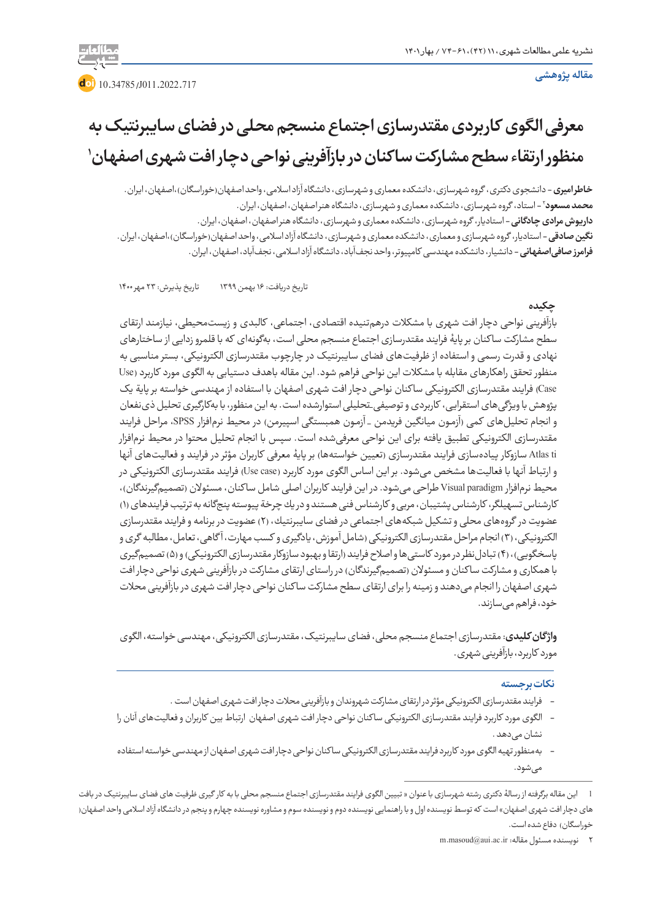#### **مقاله پژوهشی**



# **معرفی الگوی کاربردی مقتدرسازی اجتماع منسجم محلی در فضای سایبرنتیک به 1 منظور ارتقاء سطح مشارکت سا کنان در بازآفرینی نواحی دچار افت شهری اصفهان**

**خاطر امیری –** دانشجوی دکتری، گروه شهرسازی، دانشکده معماری و شهرسازی، دانشگاه آزاد اسلامی، واحد اصفهان(خوراسگان)،اصفهان، ایران. 2 - استاد، گروه شهرسازی، دانشکده معماری و شهرسازی، دانشگاه هنر اصفهان، اصفهان، ایران. **محمد مسعود داریوش مرادی چادگانی** - استادیار، گروه شهرسازی، دانشکده معماری و شهرسازی، دانشگاه هنر اصفهان، اصفهان، ایران. **نگین صادقی** - استادیار، گروه شهرسازی و معماری، دانشکده معماری و شهرسازی، دانشگاه آزاد اسالمی، واحد اصفهان)خوراسگان(،اصفهان، ایران. **فرامرز صافیاصفهانی** - دانشیار، دانشکده مهندسی کامپیوتر، واحد نجفآباد، دانشگاه آزاد اسالمی، نجفآباد، اصفهان، ایران.

تاریخ دریافت: 16 بهمن 1399 تاریخ پذیرش: 23 مهر 1400

#### **چکیده**

بازآفرینی نواحی دچار افت شهری با مشکالت درهمتنیده اقتصادی، اجتماعی، کالبدی و زیستمحیطی، نیازمند ارتقای سطح مشارکت سا کنان بر پایۀ فرایند مقتدرسازی اجتماع منسجم محلی است، بهگونهای که با قلمرو زدایی از ساختارهای نهادی و قدرت رسمی و استفاده از ظرفیتهای فضای سایبرنتیک در چارچوب مقتدرسازی الکترونیکی، بستر مناسبی به منظور تحقق راهکارهای مقابله با مشکالت این نواحی فراهم شود. این مقاله باهدف دستیابی به الگوی مورد کاربرد )Use Case) فرایند مقتدرسازی الکترونیکی ساکنان نواحی دچار افت شهری اصفهان با استفاده از مهندسی خواسته بر پایة یک پژوهش با ویژگیهای استقرایی، کاربردی و توصیفی\_تحلیلی استوارشده است. به این منظور، با بهکارگیری تحلیل ذینفعان و انجام تحلیلهای کمی (آزمـون میانگین فریدمن \_ آزمـون همبستگی اسپیرمن) در محیط نرمافزار SPSS، مراحل فرایند مقتدرسازی الکترونیکی تطبیق یافته برای این نواحی معرفیشده است. سپس با انجام تحلیل محتوا در محیط نرمافزار Atlas ti سازوکار پیادهسازی فرایند مقتدرسازی (تعیین خواستهها) بر پایۀ معرفی کاربران مؤثر در فرایند و فعالیتهای آنها و ارتباط آنها با فعالیتها مشخص میشود. بر این اساس الگوی مورد کاربرد )case Use )فرایند مقتدرسازی الکترونیکی در محیط نرمافزار Visual paradigm طراحی می شود. در این فرایند کاربران اصلی شامل ساکنان، مسئولان (تصمیمگیرندگان)، کارشناس تسهیلگر، کارشناس پشتیبان، مربی و کارشناس فنی هستند و در یك چرخة پیوسته پنجگانه به ترتیب فرایندهای )1( عضویت در گروههای محلی و تشكیل شبكههای اجتماعی در فضای سایبرنتیك، )2( عضویت در برنامه و فرایند مقتدرسازی الكترونیكی، )3( انجام مراحل مقتدرسازی الكترونیكی )شامل آموزش، یادگیری و كسب مهارت، آ گاهی، تعامل، مطالبه گری و پاسخگویی)، (۴) تبادل نظر در مورد كاستی ها و اصلاح فرایند (ارتقا و بهبود سازوكار مقتدرسازی الكترونیكی) و (۵) تصمیمگیری با همکاری و مشارکت ساکنان و مسئولان (تصمیمگیرندگان) در راستای ارتقای مشارکت در بازآفرینی شهری نواحی دچار افت شهری اصفهان را انجام میدهند و زمینه را برای ارتقای سطح مشارکت سا کنان نواحی دچار افت شهری در بازآفرینی محالت خود، فراهم میسازند.

**واژ گانکلیدی**: مقتدرسازی اجتماع منسجم محلی، فضای سایبرنتیک، مقتدرسازی الکترونیکی، مهندسی خواسته، الگوی مورد کاربرد، بازآفرینی شهری.

#### **نکات برجسته**

- فرایند مقتدرسازی الکترونیکی مؤثر در ارتقای مشارکت شهروندان و بازآفرینی محالت دچار افت شهری اصفهان است .
- الگوی مورد کاربرد فرایند مقتدرسازی الکترونیکی سا کنان نواحی دچار افت شهری اصفهان ارتباط بین کاربران و فعالیتهای آنان را نشان مے ٖدھد .
- بهمنظور تهیه الگوی مورد کاربرد فرایند مقتدرسازی الکترونیکی سا کنان نواحی دچار افت شهری اصفهان از مهندسی خواسته استفاده مے شود.

<sup>1</sup> این مقاله برگرفته از رسالۀ دکتری رشته شهرسازی با عنوان » تبیین الگوی فرایند مقتدرسازی اجتماع منسجم محلی با به کار گیری ظرفیت های فضای سایبرنتیک در بافت های دچار افت شهری اصفهان» است که توسط نویسنده اول و با راهنمایی نویسنده دوم و مشاوره نویسنده چهارم و پنجم در دانشگاه آزاد اسلامی واحد اصفهان( خوراسگان) دفاع شده است.

<sup>2</sup> نویسنده مسئول مقاله: ir.ac.aui@masoud.m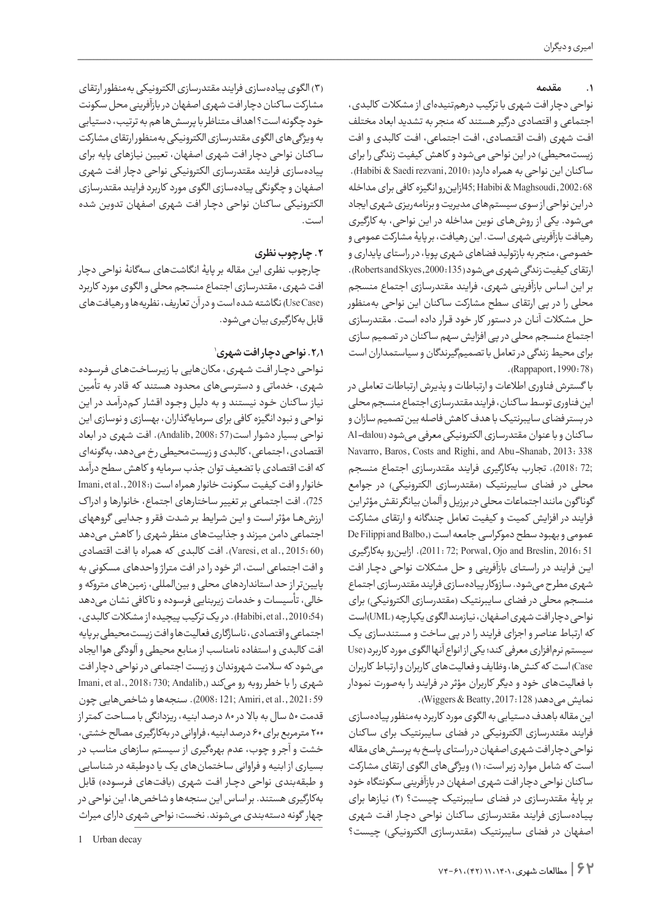#### **.1 مقدمه**

نواحی دچار افت شهری با ترکیب درهمتنیدهای از مشکالت کالبدی، اجتماعی و اقتصادی درگیر هستند که منجر به تشدید ابعاد مختلف افت شهری (افت اقتصادی، افت اجتماعی، افت کالبدی و افت زیستمحیطی) در این نواحی میشود و کاهش کیفیت زندگی را برای ساكنان این نواحی به همراه دارد( :Habibi & Saedi rezvani, 2010). 68 2002: ,Maghsoudi & Habibi; 45ازاینرو انگیزه کافی برای مداخله در این نواحی از سوی سیستمهای مدیریت و برنامهریزی شهری ایجاد میشود. یکی از روشهـای نوین مداخله در این نواحی، به کارگیری رهیافت بازآفرینی شهری است. این رهیافت، بر پایۀ مشارکت عمومی و خصوصی، منجر به بازتولید فضاهای شهری پویا، در راستای پایداری و ارتقای کیفیت زندگی شهری می شود (135: Roberts and Skyes,2000). بر این اساس بازآفرینی شهری، فرایند مقتدرسازی اجتماع منسجم محلی را در پی ارتقای سطح مشارکت سا کنان این نواحی بهمنظور حل مشکالت آنـان در دستور کار خود قـرار داده اسـت. مقتدرسازی اجتماع منسجم محلی در پی افزایش سهم سا کنان در تصمیم سازی برای محیط زندگی در تعامل با تصمیمگیرندگان و سیاستمداران است . (Rappaport, 1990: 78)

با گسترش فناوری اطالعات و ارتباطات و پذیرش ارتباطات تعاملی در این فناوری توسط سا کنان، فرایند مقتدرسازی اجتماع منسجم محلی در بستر فضای سایبرنتیک باهدف کاهش فاصله بین تصمیم سازان و سا کنان و با عنوان مقتدرسازی الکترونیکی معرفی میشود )dalou-Al Navarro, Baros, Costs and Righi, and Abu-Shanab, 2013: 338 ;72 2018:(. تجارب بهکارگیری فرایند مقتدرسازی اجتماع منسجم محلی در فضای سایبرنتیک (مقتدرسازی الکترونیکی) در جوامع گونا گون مانند اجتماعات محلی در برزیل و آلمان بیانگر نقش مؤثر این فرایند در افزایش کمیت و کیفیت تعامل چندگانه و ارتقای مشارکت عمومی و بهبود سطح دموکراسی جامعه است ),Balbo and Filippi De 51 2016: ,Breslin and Ojo ,Porwal; 72 2011:). ازایـنرو بهکارگیری ایـن فرایند در راسـتـای بازآفرینی و حل مشکالت نواحی دچـار افت شهری مطرح میشود. سازوکار پیادهسازی فرایند مقتدرسازی اجتماع منسجم محلی در فضای سایبرنتیک (مقتدرسازی الکترونیکی) برای نواحی دچار افت شهری اصفهان، نیازمند الگوی یکپارچه )UML)است که ارتباط عناصر و اجزای فرایند را در پی ساخت و مستندسازی یک سیستم نرمافزاری معرفی کند؛ یکی از انواع آنها الگوی مورد کاربرد )Use Case )است که کنشها، وظایف و فعالیتهای کاربران و ارتباط کاربران با فعالیتهای خود و دیگر کاربران مؤثر در فرایند را بهصورت نمودار نمایش می دهد( 128: Wiggers & Beatty,).

این مقاله باهدف دستیابی به الگوی مورد کاربرد بهمنظور پیادهسازی فرایند مقتدرسازی الکترونیکی در فضای سایبرنتیک برای سا کنان نواحی دچار افت شهری اصفهان درراستای پاسخ به پرسشهای مقاله است که شامل موارد زیر است: )1( ویژگیهای الگوی ارتقای مشارکت سا کنان نواحی دچار افت شهری اصفهان در بازآفرینی سکونتگاه خود بر پایۀ مقتدرسازی در فضای سایبرنتیک چیست؟ )2( نیازها برای پـیـادهسـازی فرایند مقتدرسازی سا کنان نواحی دچـار افـت شهری اصفهان در فضای سایبرنتیک (مقتدرسازی الکترونیکی) چیست؟

)3( الگوی پیادهسازی فرایند مقتدرسازی الکترونیکی بهمنظور ارتقای مشارکت سا کنان دچار افت شهری اصفهان در بازآفرینی محل سکونت خود چگونه است؟ اهداف متناظر با پرسشها هم به ترتیب، دستیابی به ویژگیهای الگوی مقتدرسازی الکترونیکی بهمنظور ارتقای مشارکت سا کنان نواحی دچار افت شهری اصفهان، تعیین نیازهای پایه برای پیادهسازی فرایند مقتدرسازی الکترونیکی نواحی دچار افت شهری اصفهان و چگونگی پیادهسازی الگوی مورد کاربرد فرایند مقتدرسازی الکترونیکی سا کنان نواحی دچـار افت شهری اصفهان تدوین شده است.

# **.2 چارچوب نظری**

 چارچوب نظری این مقاله بر پایۀ انگاشتهای سهگانۀ نواحی دچار افت شهری، مقتدرسازی اجتماع منسجم محلی و الگوی مورد کاربرد )Case Use )نگاشته شده است و در آن تعاریف، نظریهها و رهیافتهای قابل بهکارگیری بیان میشود.

# 1 **.2.1 نواحی دچار افت شهری**

نـواحـی دچــار افـت شـهـری، مکانهایی بـا زیـرسـاخـتهـای فـرسـوده شهری، خدماتی و دسترسیهای محدود هستند که قادر به تأمین نیاز ساکنان خود نیستند و به دلیل وجـود اقشار کـمدرآمـد در این نواحی و نبود انگیزه کافی برای سرمایهگذاران، بهسازی و نوسازی این نواحی بسیار دشوار است)57 2008: ,Andalib(. افت شهری در ابعاد اقتصادی، اجتماعی، کالبدی و زیستمحیطی ر خ میدهد، بهگونهای که افت اقتصادی با تضعیف توان جذب سرمایه و کاهش سطح درآمد خانوار و افت کیفیت سکونت خانوار همراه است (:Imani, et al., 2018 725(. افت اجتماعی بر تغییر ساختارهای اجتماع، خانوارها و ادرا ک ارزشهـــا مؤثر اسـت و ایـن شـرایـط بـر شـدت فقر و جـدایـی گروههای اجتماعی دامن میزند و جذابیتهای منظر شهری را کاهش میدهد )60 2015: .,al et ,Varesi). افت کالبدی که همراه با افت اقتصادی و افت اجتماعی است، اثر خود را در افت متراژ واحدهای مسکونی به پایینتر از حد استانداردهای محلی و بینالمللی، زمینهای متروکه و خالی، تأسیسات و خدمات زیربنایی فرسوده و نا کافی نشان میدهد )2010:54 .,al et ,Habibi). در یک ترکیب پیچیده از مشکالت کالبدی، اجتماعی و اقتصادی، ناسازگاری فعالیتها و افت زیستمحیطی بر پایه افت کالبدی و استفاده نامناسب از منابع محیطی و آلودگی هوا ایجاد میشود که سالمت شهروندان و زیست اجتماعی در نواحی دچار افت شهری را با خطر روبه رو میکند (,Andalib (15, 2018: 730 Imani, et al., 2018: 730 59 2021: .,al et ,Amiri; 121 2008:). سنجهها و شاخصهایی چون قدمت 50 سال به باال در 80 درصد ابنیه، ریزدانگی با مساحت کمتر از 200 مترمربع برای 60 درصد ابنیه، فراوانی در بهکارگیری مصالح خشتی، خشت و آجر و چوب، عدم بهرهگیری از سیستم سازهای مناسب در بسیاری از ابنیه و فراوانی ساختمانهای یک یا دوطبقه در شناسایی و طبقهبندی نواحی دچـار افت شهری (بافتـهای فـرسـوده) قابل بهکارگیری هستند. بر اساس این سنجهها و شاخصها، این نواحی در چهار گونه دستهبندی میشوند. نخست: نواحی شهری دارای میراث

1 Urban decay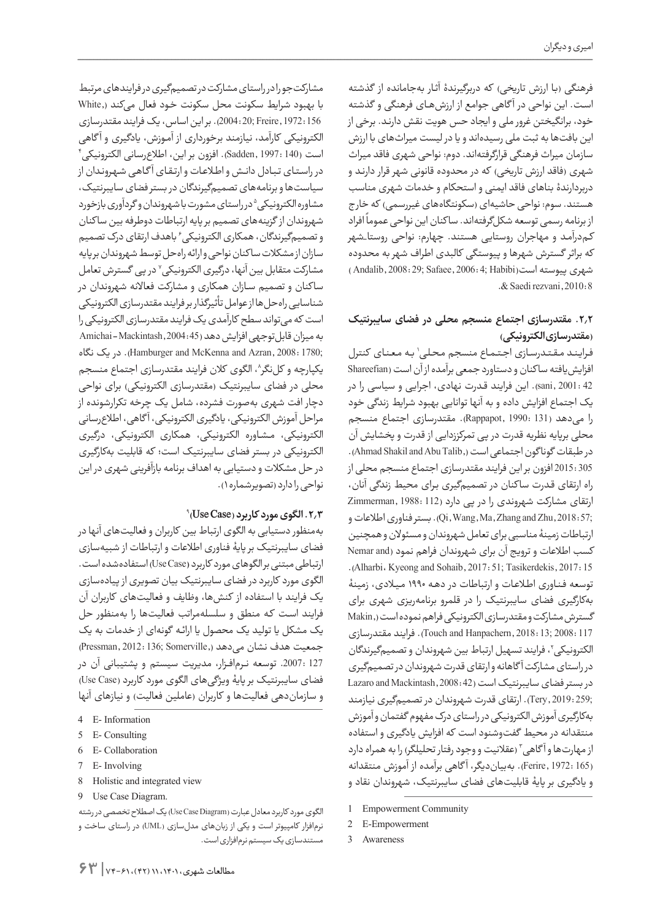فرهنگی (با ارزش تاریخی) که دربرگیرندۀ آثـار بهجامانده از گذشته اسـت. این نواحی در آ گاهی جوامع از ارزشهــای فرهنگی و گذشته خود، برانگیختن غرور ملی و ایجاد حس هویت نقش دارنـد. برخی از این بافتها به ثبت ملی رسیدهاند و یا در لیست میراثهای با ارزش سازمان میراث فرهنگی قرارگرفتهاند. دوم: نواحی شهری فاقد میراث شهری (فاقد ارزش تاریخی) که در محدوده قانونی شهر قرار دارند و دربردارندۀ بناهای فاقد ایمنی و استحکام و خدمات شهری مناسب هستند. سوم: نواحی حاشیهای (سکونتگاههای غیررسمی) که خارج ر ۱٫۰۰۰ میرود.<br>از برنامه رسمی توسعه شکلگرفتهاند. ساکنان این نواحی عموماً افراد کـمدرآمـد و مهاجران روستایی هستند. چهارم: نواحی روستا\_شهر که براثر گسترش شهرها و پیوستگی کالبدی اطراف شهر به محدوده شهری پیوسته است(Andalib, 2008: 29; Safaee, 2006: 4; Habibi .& Saedi rezvani, 2010: 8

# **.2.2 مقتدرسازی اجتماع منسجم محلی در فضای سایبرنتیک )مقتدرسازی الکترونیکی(**

فراینـد مـقـتـدرسـازی اجـتـمـاع منسجم محـلـی' بـه مـعـنـای کنترل افزایش یافته سا کنان و دستاورد جمعی برآمده از آن است (Shareefian 42 2001: ,sani). این فرایند قـدرت نهادی، اجرایی و سیاسی را در یک اجتماع افزایش داده و به آنها توانایی بهبود شرایط زندگی خود را میدهد )131 1990: ,Rappapot). مقتدرسازی اجتماع منسجم محلی برپایه نظریه قدرت در پی تمرکززدایی از قدرت و پخشایش آن در طبقات گوناگون اجتماعی است (,Ahmad Shakil and Abu Talib). 305 2015: افزون بر این فرایند مقتدرسازی اجتماع منسجم محلی از راه ارتقای قـدرت سا کنان در تصمیمگیری بـرای محیط زندگی آنان، ارتقای مشارکت شهروندی را در پی دارد )112 1988: ,Zimmerman ;57 2018: ,Zhu and Zhang ,Ma ,Wang ,Qi).بستر فناوری اطالعات و ارتباطات زمینۀ مناسبی برای تعامل شهروندان و مسئوالن و همچنین کسب اطلاعات و ترویج آن برای شهروندان فراهم نمود (Nemar and .(Alharbi، Kyeong and Sohaib, 2017: 51; Tasikerdekis, 2017: 15 توسعه فـنـاوری اطـاعـات و ارتباطات در دهـه 1990 مـیـادی، زمینۀ بهکارگیری فضای سایبرنتیک را در قلمرو برنامهریزی شهری برای گسترش مشارکت و مقتدرسازی الکترونیکی فراهم نموده است),Makin 117 2008: ;13 2018: ,Hanpachern and Touch(. فرایند مقتدرسازی لکترونیکی`، فرایند تسهیل ارتباط بین شهروندان و تصمیمگیرندگان در راستای مشارکت آ گاهانه و ارتقای قدرت شهروندان در تصمیمگیری در بستر فضای سایبرنتیک است (Lazaro and Mackintash, 2008: 42 ;259 2019: ,Tery). ارتقای قدرت شهروندان در تصمیمگیری نیازمند بهکارگیری آموزش الکترونیکی در راستای درک مفهوم گفتمان و آموزش منتقدانه در محیط گفتوشنود است که افزایش یادگیری و استفاده از مهارتها و آگاهی ّ (عقلانیت و وجود رفتار تحلیلگر) را به همراه دارد )165 1972: ,Ferire). بهبیاندیگر، آ گاهی برآمده از آموزش منتقدانه و یادگیری بر پایۀ قابلیتهای فضای سایبرنتیک، شهروندان نقاد و

مشارکتجو را در راستای مشارکت در تصمیمگیری در فرایندهای مرتبط با بهبود شرایط سکونت محل سکونت خـود فعال میکند ),White 156 1972: ,Freire; 20 2004:). بر این اساس، یک فرایند مقتدرسازی الکترونیکی کارآمد، نیازمند برخورداری از آمـوزش، یادگیری و آ گاهی 4 است )140 1997: ,Sadden). افزون بر این، اطالعرسانی الکترونیکی در راسـتـای تـبـادل دانــش و اطـاعـات و ارتـقـای آ گـاهـی شـهـرونـدان از سیاستها و برنامههای تصمیمگیرندگان در بستر فضای سایبرنتیک، مشاوره الکترونیکی<sup>۵</sup> در راستای مشورت با شهروندان و گردآوری بازخورد شهروندان از گزینههای تصمیم بر پایه ارتباطات دوطرفه بین سا کنان و تصمیمگیرندگان، همکاری الکترونیکی ٔ باهدف ارتقای درک تصمیم سازان از مشکالت سا کنان نواحی و ارائه راهحل توسط شهروندان بر پایه مشارکت متقابل بین انها، در*گ*یری الکترونیکی<sup>۷</sup> در پی گسترش تعامل سا کنان و تصمیم سـازان همکاری و مشارکت فعاالنه شهروندان در شناسایی راهحلها از عوامل تأثیرگذار بر فرایند مقتدرسازی الکترونیکی است که میتواند سطح کارآمدی یک فرایند مقتدرسازی الکترونیکی را به میزان قابل توجهی افزایش دهد (45: Amichai - Mackintash, 2004 ;1780 2008: ,Azran and McKenna and Hamburger). در یک نگاه یکپارچه و کلنگر^، الگوی کلان فرایند مقتدرسازی اجتماع منسجم محلی در فضای سایبرنتیک (مقتدرسازی الکترونیکی) برای نواحی دچار افت شهری بهصورت فشرده، شامل یک چرخه تکرارشونده از مراحل آموزش الکترونیکی، یادگیری الکترونیکی، آ گاهی، اطالعرسانی الکترونیکی، مـشـاوره الکترونیکی، همکاری الکترونیکی، درگیری الکترونیکی در بستر فضای سایبرنتیک است؛ که قابلیت بهکارگیری در حل مشکالت و دستیابی به اهداف برنامه بازآفرینی شهری در این نواحی را دارد )تصویرشماره 1(.

#### 9 **.2.3الگوی مورد کاربرد )Case Use)**

بهمنظور دستیابی به الگوی ارتباط بین کاربران و فعالیتهای آنها در فضای سایبرنتیک بر پایۀ فناوری اطالعات و ارتباطات از شبیهسازی ارتباطی مبتنی بر الگوهای مورد کاربرد **)**Case Use )استفادهشده است. الگوی مورد کاربرد در فضای سایبرنتیک بیان تصویری از پیادهسازی یک فرایند با استفاده از کنشها، وظایف و فعالیتهای کاربران آن فرایند اسـت کـه منطق و سلسلهمراتب فعالیتها را بهمنظور حل یک مشکل یا تولید یک محصول یا ارائـه گونهای از خدمات به یک جمعیت هدف نشان می دهد (,Pressman, 2012: 136; Somerville 127 .2007: توسعه نــرمافــزار، مدیریت سیستم و پشتیبانی آن در فضای سایبرنتیک بر پایۀ ویژگیهای الگوی مورد کاربرد (Use Case) و سازماندهی فعالیتها و کاربران (عاملین فعالیت) و نیازهای آنها

- 4 E- Information
- 5 E- Consulting
- 6 E-Collaboration
- 7 E- Involving
- 8 Holistic and integrated view
- 9 Use Case Diagram.

الگوی مورد کاربرد معادل عبارت (Use Case Diagram) یک اصطلاح تخصصی در رشته نرمافزار کامپیوتر است و یکی از زبانهای مدلسازی )UML )در راستای ساخت و مستندسازی یک سیستم نرمافزاری است.

Empowerment Community

<sup>2</sup> E-Empowerment

Awareness 3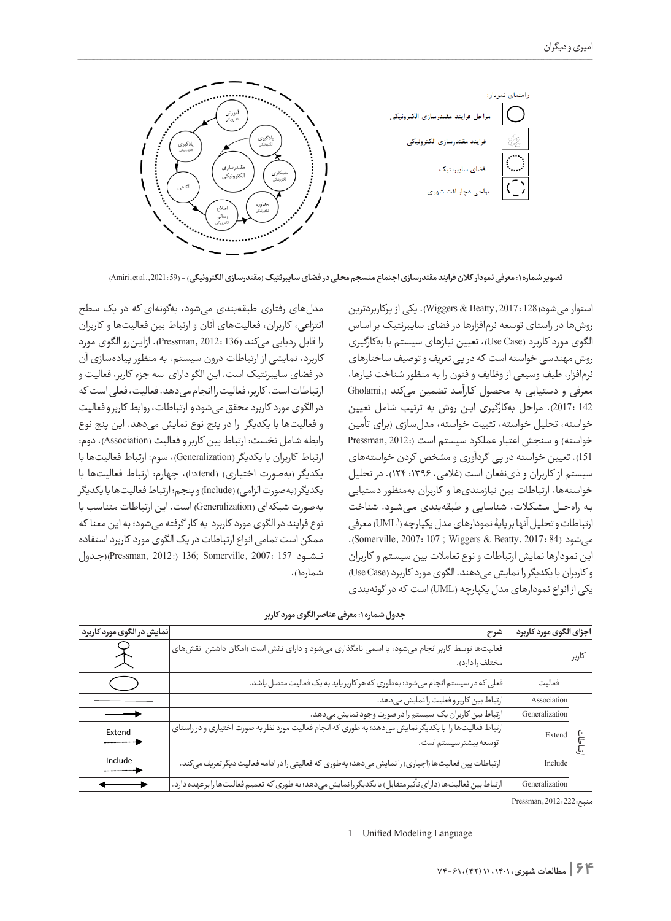

**تصویر شماره :1 معرفی نمودار کالن فرایند مقتدرسازی اجتماع منسجم محلی در فضای سایبرنتیک )مقتدرسازی الکترونیکی(** - (59 2021: .,al et ,Amiri(

استوار میشود)128 2017: ,Beatty & Wiggers). یکی از پرکاربردترین روشها در راستای توسعه نرمافزارها در فضای سایبرنتیک بر اساس الگوی مورد کاربرد **)**Case Use)، تعیین نیازهای سیستم با بهکارگیری روش مهندسی خواسته است که در پی تعریف و توصیف ساختارهای نرمافزار، طیف وسیعی از وظایف و فنون را به منظور شناخت نیازها، معرفی و دستیابی به محصول کـارآمـد تضمین میکند ),Gholami 142 2017:(. مراحل بهکارگیری ایـن روش به ترتیب شامل تعیین خواسته، تحلیل خواسته، تثبیت خواسته، مدلسازی )برای تأمین خواسته) و سنجش اعتبار عملکرد سیستم است (2012; Pressman, 2012 151(. تعیین خواسته در پی گردآوری و مشخص کردن خواستههای سیستم از کاربران و ذی نفعان است (غلامی، ۱۳۹۶: ۱۲۴). در تحلیل خواستهها، ارتباطات بین نیازمندیها و کاربران بهمنظور دستیابی بـه راهحـــل مـشـکـات، شناسایی و طبقهبندی مـیشـود. شناخت رتباطات و تحلیل انها بر پایۀ نمودارهای مدل یکپارچه ('UML) معرفی می شود (Somerville, 2007: 107 ; Wiggers & Beatty, 2017: 84). این نمودارها نمایش ارتباطات و نوع تعامالت بین سیستم و کاربران و کاربران با یکدیگر را نمایش میدهند. الگوی مورد کاربرد **)**Case Use ) یکی از انواع نمودارهای مدل یکپارچه )UML )است که در گونهبندی

مدلهای رفتاری طبقهبندی میشود، بهگونهای که در یک سطح انتزاعی، کاربران، فعالیتهای آنان و ارتباط بین فعالیتها و کاربران را قابل ردیابی میکند )136 2012: ,Pressman). ازایـنرو الگوی مورد کاربرد، نمایشی از ارتباطات درون سیستم، به منظور پیادهسازی آن در فضای سایبرنتیک است. این الگو دارای سه جزء کاربر، فعالیت و ارتباطات است. کاربر، فعالیت را انجام می دهد. فعالیت، فعلی است که در الگوی مورد کاربرد محقق میشود و ارتباطات، روابط کاربر و فعالیت و فعالیتها با یکدیگر را در پنج نوع نمایش میدهد. این پنج نوع رابطه شامل نخست: ارتباط بین کاربر و فعالیت )Association)، دوم: ارتباط کاربران با یکدیگر )Generalization)، سوم: ارتباط فعالیتها با یکدیگر )بهصورت اختیاری( )Extend)، چهارم: ارتباط فعالیتها با یکدیگر )بهصورت الزامی( )Include )و پنجم: ارتباط فعالیتها با یکدیگر بهصورت شبکهای )Generalization )است. این ارتباطات متناسب با نوع فرایند در الگوی مورد کاربرد به کار گرفته میشود؛ به این معنا که ممکن است تمامی انواع ارتباطات در یک الگوی مورد کاربرد استفاده نـــشـــود 157 2007: ,Somerville; 136) 2012: ,Pressman((جـدول شماره١).

**جدول شماره :1 معرفی عناصر الگوی مورد کاربر**

| نمایش در الگوی مورد کاربرد | شرح                                                                                                                               | اجزاي الگوي مورد كاربرد                               |       |
|----------------------------|-----------------------------------------------------------------------------------------------------------------------------------|-------------------------------------------------------|-------|
| $\hookrightarrow$          | فعالیتها توسط کاربر انجام میشود، با اسمی نامگذاری میشود و دارای نقش است (امکان داشتن  نقش،های  <br>مختلف را دارد).                |                                                       | كاربر |
| ( )                        | فعلی که در سیستم انجام میشود؛ بهطوری که هر کاربرباید به یک فعالیت متصل باشد.                                                      | فعاليت                                                |       |
|                            | ارتباط بين كاربرو فعليت را نمايش مىدهد.                                                                                           | Association                                           |       |
|                            | ارتباط بین کاربران یک سیستم را در صورت وجود نمایش میدهد.                                                                          | Generalization                                        |       |
| Extend                     | ارتباط فعالیتها را با یکدیگر نمایش میدهد؛ به طوری که انجام فعالیت مورد نظر به صورت اختیاری و در راستای  <br>توسعه بيشترسيستم است. | Extend $\begin{bmatrix} \cdot \\ \cdot \end{bmatrix}$ | ٦.    |
| Include                    | ارتباطات بین فعالیتها (اجباری) را نمایش میدهد؛ بهطوری که فعالیتی را در ادامه فعالیت دیگر تعریف میکند.                             | Include                                               |       |
|                            | ارتباط بین فعالیتها (دارای تأثیرمتقابل) با یکدیگررا نمایش میدهد؛ به طوری که تعمیم فعالیتها را برعهده دارد.                        | Generalization                                        |       |

منبع222: 2012: ,Pressman

<sup>1</sup> Unified Modeling Language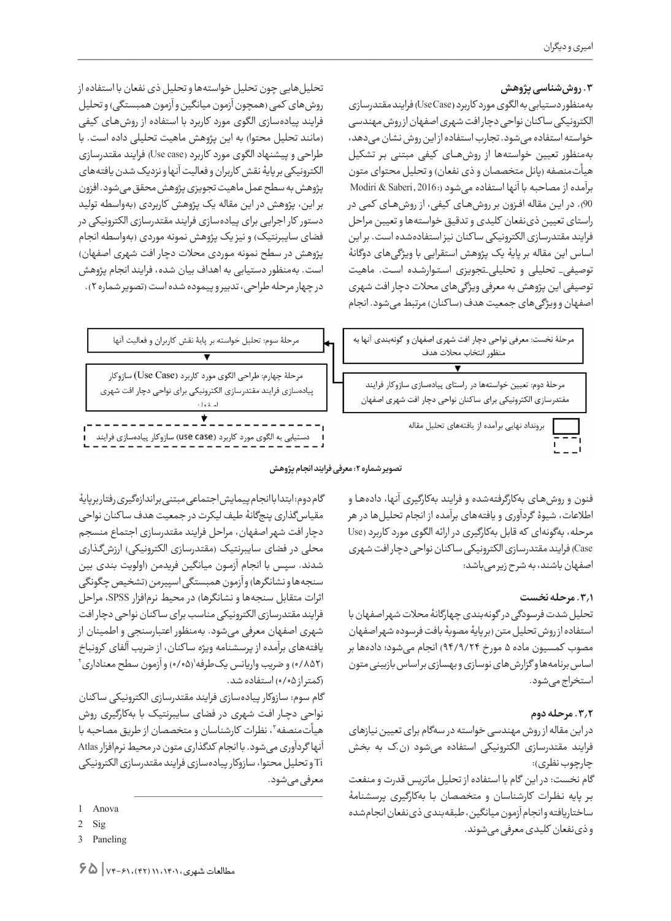# **.3 روششناسی پژوهش**

بهمنظور دستیابی به الگوی مورد کاربرد **)**Case Use )فرایند مقتدرسازی الکترونیکی سا کنان نواحی دچار افت شهری اصفهان از روش مهندسی خواسته استفاده میشود. تجارب استفاده از این روش نشان میدهد، بهمنظور تعیین خواستهها از روشهــای کیفی مبتنی بـر تشکیل هیأتمنصفه (پانل متخصصان و ذی نفعان) و تحلیل محتوای متون برآمده از مصاحبه با آنها استفاده میشود (2016: Modiri & Saberi 90(. در ایـن مقاله افــزون بر روشهــای کیفی، از روشهــای کمی در راستای تعیین ذینفعان کلیدی و تدقیق خواستهها و تعیین مراحل فرایند مقتدرسازی الکترونیکی سا کنان نیز استفادهشده است. بر این اساس این مقاله بر پایۀ یک پژوهش استقرایی با ویژگیهای دوگانۀ توصیفی\_ تحلیلی و تحلیلی\_تجویزی اسـتـوارشـده اســت. ماهیت توصیفی این پژوهش به معرفی ویژگیهای محالت دچار افت شهری اصفهان و ویژگیهای جمعیت هدف (ساکنان) مرتبط میشود. انجام

تحلیلهایی چون تحلیل خواستهها و تحلیل ذی نفعان با استفاده از روشهای کمی (همچون آزمون میانگین و آزمون همبستگی) و تحلیل فرایند پیادهسازی الگوی مورد کاربرد با استفاده از روشهـای کیفی )مانند تحلیل محتوا( به این پژوهش ماهیت تحلیلی داده است. با طراحی و پیشنهاد الگوی مورد کاربرد (Use case) فرایند مقتدرسازی الکترونیکی بر پایۀ نقش کاربران و فعالیت آنها و نزدیک شدن یافتههای پژوهش به سطح عمل ماهیت تجویزی پژوهش محقق میشود. افزون بر این، پژوهش در این مقاله یک پژوهش کاربردی )بهواسطه تولید دستور کار اجرایی برای پیادهسازی فرایند مقتدرسازی الکترونیکی در فضای سایبرنتیک) و نیز یک پژوهش نمونه موردی (بهواسطه انجام پژوهش در سطح نمونه مـوردی محلات دچار افت شهری اصفهان) است. بهمنظور دستیابی به اهداف بیان شده، فرایند انجام پژوهش در چهار مرحله طراحی، تدبیر و پیموده شده است )تصویر شماره 2(.



مرحلهٔ دوم: تعیین خواستهها در راستای پیادهسازی سازوکار فرایند مقتدرسازي الكترونيكي براي ساكنان نواحي دچار افت شهري اصفهان

برونداد نهایی برآمده از یافتههای تحلیل مقاله



**تصویر شماره :2 معرفی فرایند انجام پژوهش**

فنون و روشهـای بهکارگرفتهشده و فرایند بهکارگیری آنها، دادههـا و اطالعات، شیوۀ گردآوری و یافتههای برآمده از انجام تحلیلها در هر مرحله، بهگونهای که قابل بهکارگیری در ارائه الگوی مورد کاربرد )Use Case )فرایند مقتدرسازی الکترونیکی سا کنان نواحی دچار افت شهری اصفهان باشند، به شرح زیر میباشد:

# **.3.1 مرحله نخست**

تحلیل شدت فرسودگی در گونهبندی چهارگانۀ محالت شهر اصفهان با استفاده از روش تحلیل متن )بر پایۀ مصوبۀ بافت فرسوده شهر اصفهان مصوب کمسیون ماده ۵ مورخ ۹۴/۹/۲۴) انجام میشود؛ دادهها بر اساس برنامهها و گزارشهای نوسازی و بهسازی بر اساس بازبینی متون استخراج میشود.

# **.3.2 مرحله دوم**

در این مقاله از روش مهندسی خواسته در سهگام برای تعیین نیازهای فرایند مقتدرسازی الکترونیکی استفاده میشود )ن.ک به بخش چارچوب نظری):

گام نخست: در این گام با استفاده از تحلیل ماتریس قدرت و منفعت بـر پایه نـظـرات کارشناسان و متخصصان بـا بهکارگیری پرسشنامۀ ساختاریافته و انجام آزمون میانگین، طبقهبندی ذینفعان انجامشده و ذینفعان کلیدی معرفی میشوند.

گام دوم: ابتدا با انجام پیمایش اجتماعی مبتنی بر اندازهگیری رفتار بر پایۀ مقیاسگذاری پنجگانۀ طیف لیکرت در جمعیت هدف سا کنان نواحی دچار افت شهر اصفهان، مراحل فرایند مقتدرسازی اجتماع منسجم محلی در فضای سایبرنتیک (مقتدرسازی الکترونیکی) ارزشگذاری شدند. سپس با انجام آزمـون میانگین فریدمن )اولویت بندی بین سنجهها و نشانگرها) و آزمون همبستگی اسپیرمن (تشخیص چگونگی اثرات متقابل سنجهها و نشانگرها) در محیط نرمافزار SPSS، مراحل فرایند مقتدرسازی الکترونیکی مناسب برای سا کنان نواحی دچار افت شهری اصفهان معرفی میشود. بهمنظور اعتبارسنجی و اطمینان از یافتههای برآمده از پرسشنامه ویژه سا کنان، از ضریب آلفای کرونباخ (۰/۸۵۲) و ضریب واریانس یکطرفه'(۰/۰۵) و ازمون سطح معناداری۲ )کمتر از 0/05( استفاده شد.

گام سوم: سازوکار پیادهسازی فرایند مقتدرسازی الکترونیکی سا کنان نواحی دچـار افـت شهری در فضای سایبرنتیک با بهکارگیری روش هیأتمنصفه"، نظرات كارشناسان و متخصصان از طریق مصاحبه با آنها گردآوری میشود. با انجام کدگذاری متون در محیط نرمافزار Atlas Ti و تحلیل محتوا، سازوکار پیادهسازی فرایند مقتدرسازی الکترونیکی معرفی میشود.

Anova 1

<sup>2</sup> Sig

<sup>3</sup> Paneling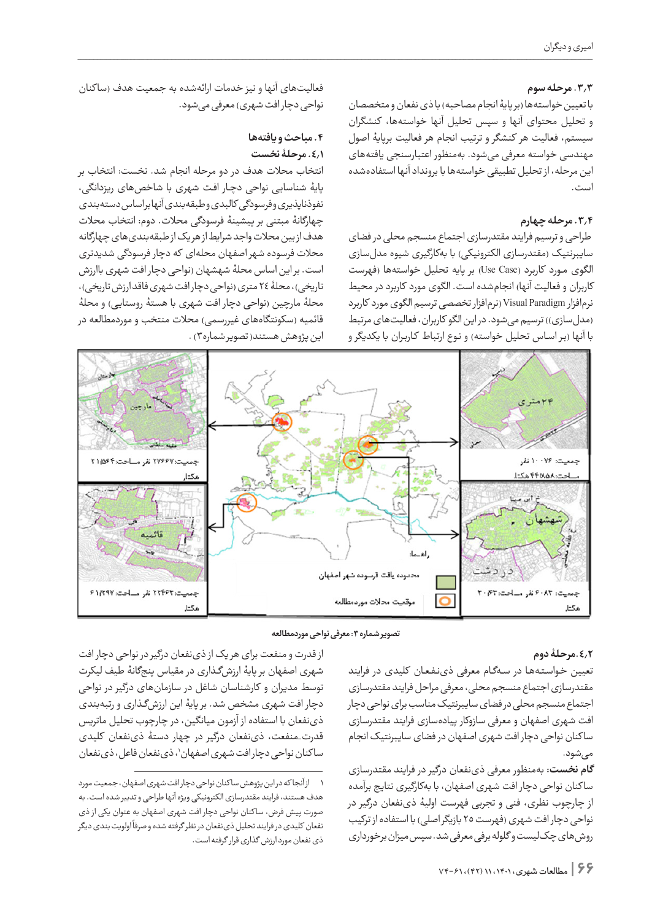# **.3.3 مرحله سوم**

با تعیین خواستهها (بر پایۀ انجام مصاحبه) با ذی نفعان و متخصصان و تحلیل محتوای آنها و سپس تحلیل آنها خواستهها، کنشگران سیستم، فعالیت هر کنشگر و ترتیب انجام هر فعالیت برپایۀ اصول مهندسی خواسته معرفی میشود. بهمنظور اعتبارسنجی یافتههای این مرحله، از تحلیل تطبیقی خواستهها با برونداد آنها استفادهشده است.

# **.3.4 مرحله چهارم**

 طراحی و ترسیم فرایند مقتدرسازی اجتماع منسجم محلی در فضای سایبرنتیک (مقتدرسازی الکترونیکی) با بهکارگیری شیوه مدلسازی الگوی مورد کاربرد (Use Case) بر پایه تحلیل خواستهها (فهرست کاربران و فعالیت آنها) انجامشده است. الگوی مورد کاربرد در محیط نرمافزار Paradigm Visual( نرمافزار تخصصی ترسیم الگوی مورد کاربرد (مدل سازی)) ترسیم می شود. در این الگو کاربران، فعالیتهای مرتبط با آنها (بر اسـاس تحلیل خواسته) و نـوع ارتباط کـاربـران با یکدیگر و

فعالیتهای آنها و نیز خدمات ارائهشده به جمعیت هدف (ساکنان نواحی دچار افت شهری) معرفی می شود.

# **.4 مباحث و یافتهها .4.1 مرحلۀ نخست**

انتخاب محالت هدف در دو مرحله انجام شد. نخست: انتخاب بر پایۀ شناسایی نواحی دچـار افـت شهری با شاخصهای ریزدانگی، نفوذناپذیری و فرسودگی کالبدی و طبقهبندی آنها بر اساس دستهبندی چهارگانۀ مبتنی بر پیشینۀ فرسودگی محالت. دوم: انتخاب محالت هدف از بین محالت واجد شرایط از هر یک از طبقهبندیهای چهارگانه محالت فرسوده شهر اصفهان محلهای که دچار فرسودگی شدیدتری است. بر این اساس محلۀ شهشهان )نواحی دچار افت شهری باارزش تاریخی)، محلۀ ۲٤ متری (نواحی دچار افت شهری فاقد ارزش تاریخی)، محلۀ مارچین )نواحی دچار افت شهری با هستۀ روستایی( و محلۀ قائمیه (سکونتگاههای غیررسمی) محلات منتخب و موردمطالعه در این پژوهش هستند( تصویر شماره۳) .



**تصویر شماره :3 معرفی نواحی موردمطالعه**

#### **.4.2مرحلۀ دوم**

تعیین خـواسـتـههـا در سـهگـام معرفی ذینـفـعـان کلیدی در فرایند مقتدرسازی اجتماع منسجم محلی، معرفی مراحل فرایند مقتدرسازی اجتماع منسجم محلی در فضای سایبرنتیک مناسب برای نواحی دچار افت شهری اصفهان و معرفی سازوکار پیادهسازی فرایند مقتدرسازی سا کنان نواحی دچار افت شهری اصفهان در فضای سایبرنتیک انجام مے شود.

**گام نخست:** بهمنظور معرفی ذینفعان درگیر در فرایند مقتدرسازی سا کنان نواحی دچار افت شهری اصفهان، با بهکارگیری نتایج برآمده از چارچوب نظری، فنی و تجربی فهرست اولیۀ ذینفعان درگیر در نواحی دچار افت شهری (فهرست ٢٥ بازیگر اصلی) با استفاده از ترکیب روشهای چکلیست و گلوله برفی معرفی شد. سپس میزان برخورداری

**66 |** مطالعات شهری، ،1401 11 )42(، 74-<sup>61</sup>

از قدرت و منفعت برای هر یک از ذینفعان درگیر در نواحی دچار افت شهری اصفهان بر پایۀ ارزشگـذاری در مقیاس پنجگانۀ طیف لیکرت توسط مدیران و کارشناسان شاغل در سازمانهای درگیر در نواحی دچار افت شهری مشخص شد. بر پایۀ این ارزشگـذاری و رتبهبندی ذینفعان با استفاده از آزمون میانگین، در چارچوب تحلیل ماتریس قدرت\_منفعت، ذینفعان درگیر در چهار دستۀ ذینفعان کلیدی ساکنان نواحی دچارافت شهری اصفهان'، ذینفعان فاعل، ذینفعان

<sup>1</sup> از آنجا که در این پژوهش سا کنان نواحی دچار افت شهری اصفهان، جمعیت مورد هدف هستند، فرایند مقتدرسازی الکترونیکی ویژه آنها طراحی و تدبیر شده است. به صورت پیش فرض، سا کنان نواحی دچار افت شهری اصفهان به عنوان یکی از ذی ر<br>نفعان کلیدی در فرایند تحلیل ذی نفعان در نظر گرفته شده و صرفاً اولویت بندی دیگر ذی نفعان مورد ارزش گذاری قرار گرفته است.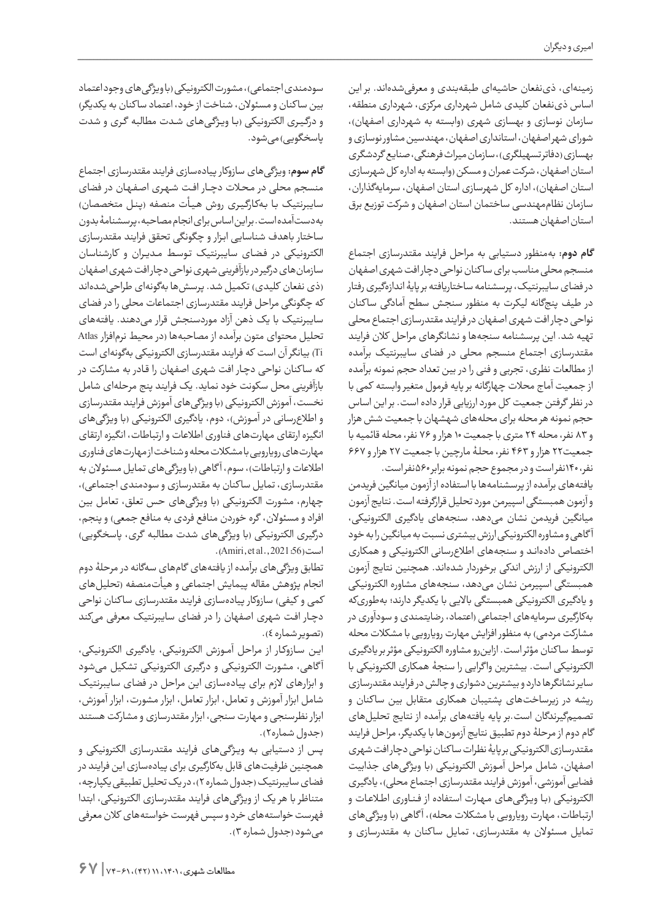زمینهای، ذینفعان حاشیهای طبقهبندی و معرفیشدهاند. بر این اساس ذینفعان کلیدی شامل شهرداری مرکزی، شهرداری منطقه، سازمان نوسازی و بهسازی شهری (وابسته به شهرداری اصفهان)، شورای شهر اصفهان، استانداری اصفهان، مهندسین مشاور نوسازی و بهسازی )دفاتر تسهیلگری(، سازمان میراث فرهنگی، صنایع گردشگری استان اصفهان، شرکت عمران و مسکن )وابسته به اداره کل شهرسازی استان اصفهان)، اداره کل شهرسازی استان اصفهان، سرمایهگذاران، سازمان نظاممهندسی ساختمان استان اصفهان و شرکت توزیع برق استان اصفهان هستند.

**گام دوم:** بهمنظور دستیابی به مراحل فرایند مقتدرسازی اجتماع منسجم محلی مناسب برای سا کنان نواحی دچار افت شهری اصفهان در فضای سایبرنتیک، پرسشنامه ساختاریافته بر پایۀ اندازهگیری رفتار در طیف پنجگانه لیکرت به منظور سنجش سطح آمادگی سا کنان نواحی دچار افت شهری اصفهان در فرایند مقتدرسازی اجتماع محلی تهیه شد. این پرسشنامه سنجهها و نشانگرهای مراحل کالن فرایند مقتدرسازی اجتماع منسجم محلی در فضای سایبرنتیک برآمده از مطالعات نظری، تجربی و فنی را در بین تعداد حجم نمونه برآمده از جمعیت آماج محالت چهارگانه بر پایه فرمول متغیر وابسته کمی با در نظر گرفتن جمعیت کل مورد ارزیابی قرار داده است. بر این اساس حجم نمونه هر محله برای محلههای شهشهان با جمعیت شش هزار و 83 نفر، محله 24 متری با جمعیت 10 هزار و 76 نفر، محله قائمیه با جمعیت22 هزار و 463 نفر، محلـۀ مارچین با جمعیت 27 هزار و 667 نفر، 140نفر است و در مجموع حجم نمونه برابر 560نفر است.

یافتههای برآمده از پرسشنامهها با استفاده از آزمون میانگین فریدمن و آزمون همبستگی اسپیرمن مورد تحلیل قرارگرفته است. نتایج آزمون میانگین فریدمن نشان میدهد، سنجههای یادگیری الکترونیکی، آ گاهی و مشاوره الکترونیکی ارزش بیشتری نسبت به میانگین را به خود اختصاص دادهانـد و سنجههای اطالعرسانی الکترونیکی و همکاری الکترونیکی از ارزش اندکی برخوردار شدهاند. همچنین نتایج آزمون همبستگی اسپیرمن نشان میدهد، سنجههای مشاوره الکترونیکی و یادگیری الکترونیکی همبستگی باالیی با یکدیگر دارند؛ بهطوریکه بهکارگیری سرمایههای اجتماعی )اعتماد، رضایتمندی و سودآوری در مشارکت مردمی) به منظور افزایش مهارت رویارویی با مشکلات محله توسط سا کنان مؤثر است. ازاینرو مشاوره الکترونیکی مؤثر بر یادگیری الکترونیکی است. بیشترین وا گرایی را سنجۀ همکاری الکترونیکی با سایر نشانگرها دارد و بیشترین دشواری و چالش در فرایند مقتدرسازی ریشه در زیرساختهای پشتیبان همکاری متقابل بین سا کنان و تصمیمگیرندگان است.بر پایه یافتههای برآمده از نتایج تحلیلهای گام دوم از مرحلۀ دوم تطبیق نتایج آزمونها با یکدیگر، مراحل فرایند مقتدرسازی الکترونیکی بر پایۀ نظرات سا کنان نواحی دچار افت شهری اصفهان، شامل مراحل آمـوزش الکترونیکی )با ویژگیهای جذابیت فضایی آموزشی، آموزش فرایند مقتدرسازی اجتماع محلی)، یادگیری الکترونیکی (بـا ویـژگـیهـای مـهـارت استفاده از فـنـاوری اطـلاعـات و ارتباطات، مهارت رویارویی با مشکلات محله)، آگاهی (با ویژگیهای تمایل مسئوالن به مقتدرسازی، تمایل سا کنان به مقتدرسازی و

سودمندی اجتماعی)، مشورت الکترونیکی (با ویژگی های وجود اعتماد بین سا کنان و مسئوالن، شناخت از خود، اعتماد سا کنان به یکدیگر( و درگـیـری الکترونیکی )بـا ویـژگـیهـای شـدت مطالبه گـری و شدت یاسخگویے) می شود.

**گام سوم:** ویژگیهای سازوکار پیادهسازی فرایند مقتدرسازی اجتماع منسجم محلی در مـحـات دچـــار افــت شـهـری اصـفـهـان در فضای سایبرنتیک بـا بـهکـارگـیـری روش هـیـأت منصفه )پـنـل متخصصان( بهدستآمده است. بر این اساس برای انجام مصاحبه، پرسشنامۀ بدون ساختار باهدف شناسایی ابـزار و چگونگی تحقق فرایند مقتدرسازی الکترونیکی در فـضـای سایبرنتیک تـوسـط مـدیـران و کارشناسان سازمانهای درگیر در بازآفرینی شهری نواحی دچار افت شهری اصفهان )ذی نفعان کلیدی( تکمیل شد. پرسشها بهگونهای طراحیشدهاند که چگونگی مراحل فرایند مقتدرسازی اجتماعات محلی را در فضای سایبرنتیک با یک ذهن آزاد موردسنجش قرار میدهند. یافتههای تحلیل محتوای متون برآمده از مصاحبهها )در محیط نرمافزار Atlas Ti )بیانگر آن است که فرایند مقتدرسازی الکترونیکی بهگونهای است که سا کنان نواحی دچـار افت شهری اصفهان را قـادر به مشارکت در بازآفرینی محل سکونت خود نماید. یک فرایند پنج مرحلهای شامل نخست، آموزش الکترونیکی )با ویژگیهای آموزش فرایند مقتدرسازی و اطلاعرسانی در آمـوزش)، دوم، یادگیری الکترونیکی (با ویژگیهای انگیزه ارتقای مهارتهای فناوری اطالعات و ارتباطات، انگیزه ارتقای مهارتهای رویارویی با مشکالت محله و شناخت از مهارتهای فناوری اطلاعات و ارتباطات)، سوم، آگاهی (با ویژگیهای تمایل مسئولان به مقتدرسازی، تمایل سا کنان به مقتدرسازی و سودمندی اجتماعی(، چهارم، مشورت الکترونیکی )با ویژگیهای حس تعلق، تعامل بین افراد و مسئولان، گره خوردن منافع فردی به منافع جمعی) و پنجم، درگیری الکترونیکی (با ویژگیهای شدت مطالبه گری، پاسخگویی)  $(Amiri, et al., 2021:56)$ است

تطابق ویژگیهای برآمده از یافتههای گامهای سهگانه در مرحلۀ دوم انجام پژوهش مقاله پیمایش اجتماعی و هیأتمنصفه )تحلیلهای کمی و کیفی) سازوکار پیادهسازی فرایند مقتدرسازی ساکنان نواحی دچـار افـت شهری اصفهان را در فضای سایبرنتیک معرفی میکند )تصویر شماره 4(.

ایـن سـازوکـار از مراحل آمــوزش الکترونیکی، یادگیری الکترونیکی، آ گاهی، مشورت الکترونیکی و درگیری الکترونیکی تشکیل میشود و ابزارهای الزم برای پیادهسازی این مراحل در فضای سایبرنتیک شامل ابزار آموزش و تعامل، ابزار تعامل، ابزار مشورت، ابزار آموزش، ابزار نظرسنجی و مهارت سنجی، ابزار مقتدرسازی و مشارکت هستند (جدول شماره٢).

پـس از دستیابی بـه ویـژگـیهـای فرایند مقتدرسازی الکترونیکی و همچنین ظرفیتهای قابل بهکارگیری برای پیادهسازی این فرایند در فضای سایبرنتیک )جدول شماره 2(، در یک تحلیل تطبیقی یکپارچه، متناظر با هر یک از ویژگیهای فرایند مقتدرسازی الکترونیکی، ابتدا فهرست خواستههای خرد و سپس فهرست خواستههای کالن معرفی میشود )جدول شماره 3(.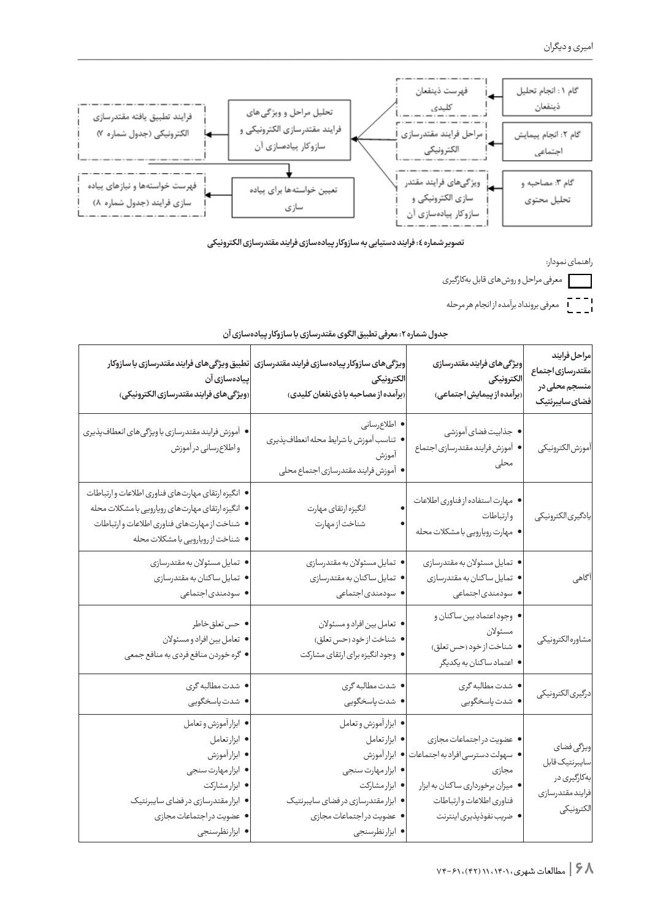

**تصویر شماره :4 فرایند دستیابی به سازوکار پیادهسازی فرایند مقتدرسازی الکترونیکی**

راهنمای نمودار:

معرفی مراحل و روشهای قابل بهکارگیری

ا – – –<br>ا \_ \_ \_ J معرفی برونداد برآمده از انجام هر مرحله

| مراحل فرايند<br>مقتدرسازى اجتماع<br>منسجم محلی در<br>فضاى سايبرنتيك            | ويژگى هاى فرايند مقتدرسازى<br>الكترونيكي<br>(برآمده از پیمایش اجتماعی)                                                                                             | ويژگىهاى سازوكار پيادهسازى فرايند مقتدرسازى  تطبيق ويژگىهاى فرايند مقتدرسازى با سازوكار<br>الكترونيكي<br>(برآمده از مصاحبه باذی نفعان کلیدی)                                      | پیادەسازى آن<br>(ويژگى هاى فرايند مقتدرسازى الكترونيكى)                                                                                                                                    |
|--------------------------------------------------------------------------------|--------------------------------------------------------------------------------------------------------------------------------------------------------------------|-----------------------------------------------------------------------------------------------------------------------------------------------------------------------------------|--------------------------------------------------------------------------------------------------------------------------------------------------------------------------------------------|
| آموزش الكترونيكي                                                               | • جذابيت فضاى آموزشى<br>• آموزش فرايند مقتدرسازي اجتماع<br>محلى                                                                                                    | • اطلاع رسانى<br>● تناسب آموزش با شرايط محله انعطاف پذيري<br>آموزش<br>• أموزش فرايند مقتدرسازي اجتماع محلي                                                                        | • آموزش فرايند مقتدرسازي باويژگيهاي انعطاف پذيري<br>واطلاع رساني درآموزش                                                                                                                   |
| يادگيري الكترونيكي                                                             | • مهارت استفاده از فناوري اطلاعات<br>وارتباطات<br>● مهارت رويارويي با مشكلات محله                                                                                  | انگیزه ارتقای مهارت<br>شناخت از مهارت                                                                                                                                             | • انگیزه ارتقای مهارتهای فناوری اطلاعات وارتباطات<br>● انگیزه ارتقای مهارتهای رویارویی با مشکلات محله<br>• شناخت ازمهارتهاى فناورى اطلاعات وارتباطات<br>• شناخت از رویارویی با مشکلات محله |
| آگاهی                                                                          | • تمايل مسئولان به مقتدرسازي<br>• تمايل ساكنان به مقتدرسازي<br>• سودمندی جتماعی                                                                                    | • تمايل مسئولان به مقتدرسازي<br>• تمايل ساكنان به مقتدرسازي<br>• سودمندی جتماعی                                                                                                   | • تمايل مسئولان به مقتدرسازي<br>• تمايل ساكنان به مقتدرسازي<br>• سودمندی جتماعی                                                                                                            |
| مشاوره الكترونيكي                                                              | • وجود اعتماد بين ساكنان و<br>مسئولان<br>• شناخت ازخود (حس تعلق)<br>• اعتماد ساكنان به يكديگر                                                                      | • تعامل بين افراد و مسئولان<br>• شناخت ازخود (حس تعلق)<br>• وجود انگیزه برای ارتقای مشارکت                                                                                        | • حس تعلق خاطر<br>• تعامل بين افراد و مسئولان<br>● گره خوردن منافع فردي به منافع جمعي                                                                                                      |
| درگيري الكترونيكي                                                              | • شدت مطالبه گری<br>• شدت پاسخگویی                                                                                                                                 | • شدت مطالبه گری<br>● شدت پاسخگویی                                                                                                                                                | • شدت مطالبه گری<br>• شدت پاسخگویی                                                                                                                                                         |
| ويژگى فضاى<br>سايبرنتيك قابل<br>بەكارگيرى در<br>فرايند مقتدرسازي<br>الكترونيكي | • عضويت دراجتماعات مجازى<br>● سهولت دسترسي افراد به اجتماعات<br>مجازى<br>• میزان برخورداری ساکنان به ابزار<br>فناوري اطلاعات وارتباطات<br>• ضريب نفوذپذيري اينترنت | • ابزار آموزش وتعامل<br>• ابزارتعامل<br>• ابزارآموزش<br>• ابزار مهارت سنجى<br>● ابزار مشاركت<br>• ابزار مقتدرسازي درفضاي سايبرنتيك<br>• عضويت دراجتماعات مجازى<br>• ابزار نظرسنجي | • ابزار آموزش وتعامل<br>• ابزارتعامل<br>• ابزارآموزش<br>• ابزار مهارت سنجى<br>• ابزار مشاركت<br>• ابزار مقتدرسازي درفضاي سايبرنتيك<br>• عضويت دراجتماعات مجازى<br>• ابزارنظرسنجي           |

| جدول شماره ۲: معرفی تطبیق الگوی مقتدرسازی با سازوکار پیادهسازی آن |
|-------------------------------------------------------------------|
|-------------------------------------------------------------------|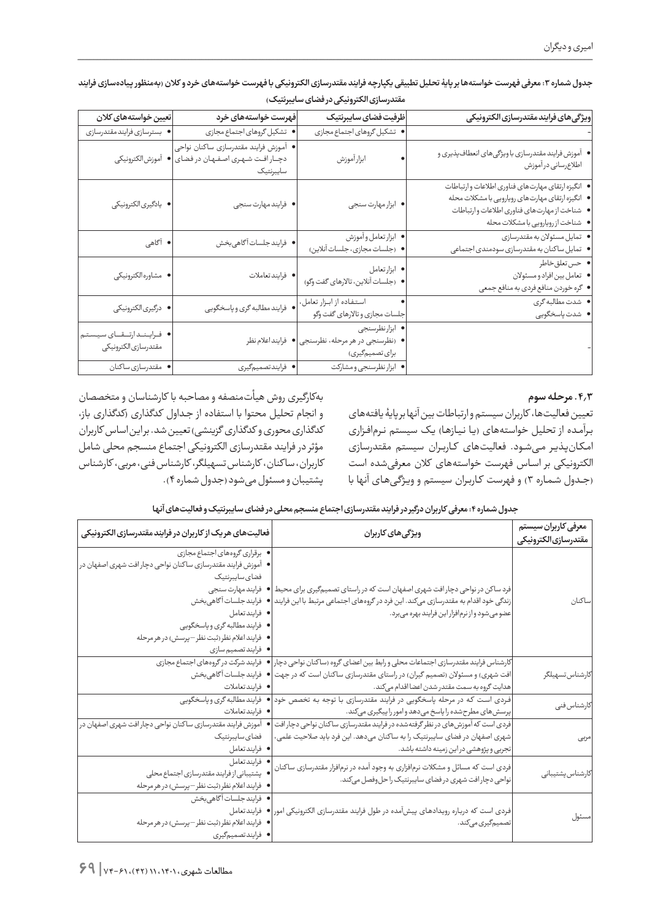| ويژگى هاى فرايند مقتدرسازى الكترونيكى                                                                                                                                                       | ظرفيت فضاى سايبرنتيك                                                 | فهرست خواستههای خرد                                                                | تعيين خواستههاى كلان                                 |
|---------------------------------------------------------------------------------------------------------------------------------------------------------------------------------------------|----------------------------------------------------------------------|------------------------------------------------------------------------------------|------------------------------------------------------|
|                                                                                                                                                                                             | • تشكيل گروهاى اجتماع مجازى                                          | • تشكيل گروهاى اجتماع مجازى                                                        | • بسترسازي فرايندمقتدرسازي                           |
| ● آموزش فرایند مقتدرسازی با ویژگیهای انعطافپذیری و<br>اطلاعرساني در آموزش                                                                                                                   | ابزار آموزش                                                          | • أموزش فرايند مقتدرسازي ساكنان نواحي<br>دچار افت شهری اصفهان در فضای<br>سايبرنتيك | آموزش الكترونيكي                                     |
| ● انگیزه ارتقای مهارتهای فناوری اطلاعات و ارتباطات<br>● انگیزه ارتقای مهارتهای رویارویی با مشکلات محله<br>• شناخت از مهارتهاى فناورى اطلاعات وارتباطات<br>● شناخت ازرويارويي با مشكلات محله | • ابزار مهارت سنجى                                                   | • فرايندمهارت سنجى                                                                 | • يادگيري لكترونيكي                                  |
| • تمايل مسئولان به مقتدرسازي<br>• تمایل ساکنان به مقتدرسازی سودمندی اجتماعی                                                                                                                 | • ابزار تعامل وأموزش<br>● (جلسات مجازى، جلسات آنلاين)                | • فرايندجلسات آگاهي،خش                                                             | • آگاهی                                              |
| ● حستعلقخاطر<br>• تعامل بين افراد و مسئولان<br>● گره خوردن منافع فردي به منافع جمعي                                                                                                         | • ابزارتعامل<br>● (جلسات آنلاین، تالارهای گفت وگو)                   | • فرايندتعاملات                                                                    | • مشاوره الكترونيكي                                  |
| ● شدت مطالبه گری<br>● شدت پاسخگویی                                                                                                                                                          | استفاده از ابزار تعامل،<br>جلسات مجازى وتالارهاى گفت وگو             | • فرايند مطالبه گرى و پاسخگويى                                                     | • درگیری الکترونیکی                                  |
|                                                                                                                                                                                             | • ابزارنظرسنجي<br>● (نظرسنجی در هر مرحله، نظرسنجی<br>برای تصمیمگیری) | فرايند اعلام نظر                                                                   | • فـرايـنـدارتــقــاى سيـستم<br>مقتدرسازي الكترونيكي |
|                                                                                                                                                                                             | • ابزار نظرسنجي و مشاركت                                             | • فرايندتصميم گيري                                                                 | • مقتدرسازي ساكنان                                   |

جدول شماره ۳: معرفی فهرست خواستهها بر پایۀ تحلیل تطبیقی یکپارچه فرایند مقتدرسازی الکترونیکی با فهرست خواستههای خرد و کلان (بهمنظور پیادهسازی فرایند **مقتدرسازی الکترونیکی در فضای سایبرنتیک(**

#### **.4.3 مرحله سوم**

تعیین فعالیتها، کاربران سیستم و ارتباطات بین آنها بر پایۀ یافتههای بـرآمـده از تحلیل خواستههای (یـا نيـازهـا) یـک سیستم نـرمافـزاری امـکـانپـذیـر مـیشـود. فعالیتهای کــاربــران سیستم مقتدرسازی الکترونیکی بر اسـاس فهرست خواستههای کالن معرفیشده است )جــدول شـمـاره 3( و فهرست کـاربـران سیستم و ویـژگـیهـای آنها با

بهکارگیری روش هیأتمنصفه و مصاحبه با کارشناسان و متخصصان و انجام تحلیل محتوا با استفاده از جداول کدگذاری (کدگذاری باز، کدگذاری محوری و کدگذاری گزینشی( تعیین شد. بر این اساس کاربران مؤثر در فرایند مقتدرسازی الکترونیکی اجتماع منسجم محلی شامل کاربران، سا کنان، کارشناس تسهیلگر، کارشناس فنی، مربی، کارشناس پشتیبان و مسئول میشود )جدول شماره 4(.

**جدول شماره :4 معرفی کاربران درگیر در فرایند مقتدرسازی اجتماع منسجم محلی در فضای سایبرنتیک و فعالیتهای آنها**

| معرفى كاربران سيستم<br>مقتدرسازىالكترونيكي | ویژگیهای کاربران                                                                                                                                                                                                                                                      | فعاليتهاى هريك از كاربران در فرايند مقتدرسازى الكترونيكي                                                                                                                                                                                       |
|--------------------------------------------|-----------------------------------------------------------------------------------------------------------------------------------------------------------------------------------------------------------------------------------------------------------------------|------------------------------------------------------------------------------------------------------------------------------------------------------------------------------------------------------------------------------------------------|
| ساكنان                                     | فرد ساکن در نواحی دچار افت شهری اصفهان است که در راستای تصمیمگیری برای محیط  ● فرایند مهارت سنجی<br>زندگی خود اقدام به مقتدرسازی میکند. این فرد در گروههای اجتماعی مرتبط با این فرایند  ● فرایند جلسات آگاهی بخش<br>عضو می شود و از نرم افزار این فرایند بهره می برد. | ● برقراری گروههای اجتماع مجازی<br>● آموزش فرایند مقتدرسازی ساکنان نواحی دچار افت شهری اصفهان در  <br>فضاي سايبرنتيك<br>• فرايندتعامل<br>● فرايند مطالبه گري و پاسخگويي<br>▪ فرايند اعلام نظر (ثبت نظر –پرسش) در هر مرحله<br>• فرایندتصمیم سازی |
| كارشناس تسهيلگر                            | کارشناس فرایند مقتدرسازی اجتماعات محلی و رابط بین اعضای گروه (ساکنان نواحی دچار <br>افت شهری) و مسئولان (تصمیم گیران) در راستای مقتدرسازی ساکنان است که در جهت<br>هدايت گروه به سمت مقتدر شدن اعضا اقدام مى كند.                                                      | ● فرایند شرکت در گروههای اجتماع مجازی<br> ● فرايندجلسات گاهىبخش<br>• فرايندتعاملات                                                                                                                                                             |
| كارشناس فنى                                | فردی است که در مرحله پاسخگویی در فرایند مقتدرسازی با توجه به تخصص خود<br>پرسش های مطرح شده را پاسخ می دهد و امور را پیگیری میکند.                                                                                                                                     | فرایند مطالبه گری و پاسخگویی<br>• فرايندتعاملات                                                                                                                                                                                                |
| مربى                                       | فردی است که آموزش های در نظر گرفتهشده در فرایند مقتدرسازی ساکنان نواحی دچار افت<br>شهری اصفهان در فضای سایبرنتیک را به ساکنان میدهد. این فرد باید صلاحیت علمی،<br>تجربی و پژوهشی در این زمینه داشته باشد.                                                             | ● آموزش فرایند مقتدرسازی ساکنان نواحی دچار افت شهری اصفهان در <br>فضاي سايبرنتيك<br>• فرايندتعامل                                                                                                                                              |
| كارشناس پشتيبانى                           | فردی است که مسائل و مشکلات نرمافزاری به وجود آمده در نرمافزار مقتدرسازی ساکنان<br>نواحی دچار افت شهری در فضای سایبرنتیک را حل وفصل میکند.                                                                                                                             | • فرايندتعامل<br>و پشتیبانی از فرایند مقتدرسازی اجتماع محلی<br>▪ فرايند اعلام نظر (ثبت نظر –پرسش) در هر مرحله                                                                                                                                  |
| مسئول                                      | فردی است که درباره رویدادهای پیشآمده در طول فرایند مقتدرسازی الکترونیکی امور ● فرایندتعامل<br>تصميم گيري مي كند.                                                                                                                                                      | ● فرايندجلسات أگاهىبخش<br>• فرايند اعلام نظر (ثبت نظر –پرسش) در هر مرحله<br>• فرايندتصميم گيري                                                                                                                                                 |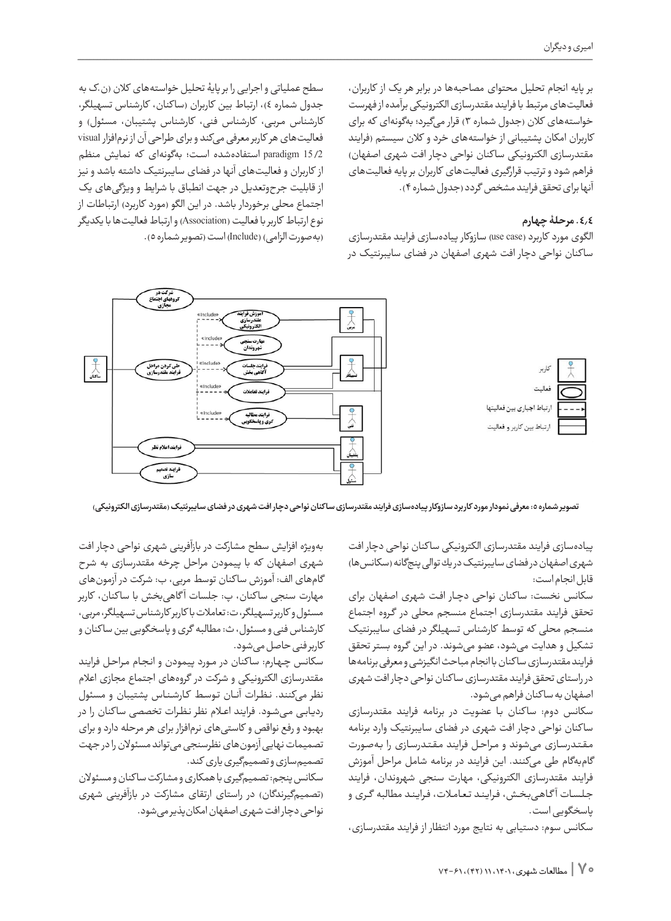بر پایه انجام تحلیل محتوای مصاحبهها در برابر هر یک از کاربران، فعالیتهای مرتبط با فرایند مقتدرسازی الکترونیکی برآمده از فهرست خواستههای کالن )جدول شماره 3( قرار میگیرد؛ بهگونهای که برای کاربران امکان پشتیبانی از خواستههای خرد و کالن سیستم )فرایند مقتدرسازی الکترونیکی سا کنان نواحی دچار افت شهری اصفهان( فراهم شود و ترتیب قرارگیری فعالیتهای کاربران بر پایه فعالیتهای آنها برای تحقق فرایند مشخص گردد )جدول شماره 4(.

# **.4.4 مرحلۀ چهارم**

الگوی مورد کاربرد (use case) سازوکار پیادهسازی فرایند مقتدرسازی سا کنان نواحی دچار افت شهری اصفهان در فضای سایبرنتیک در

سطح عملیاتی و اجرایی را بر پایۀ تحلیل خواستههای کالن )ن.ک به جدول شماره ٤)، ارتباط بین کاربران (ساکنان، کارشناس تسهیلگر، کارشناس مربی، کارشناس فنی، کارشناس پشتیبان، مسئول) و فعالیتهای هر کاربر معرفی میکند و برای طراحی آن از نرمافزار visual 15/2 paradigm استفادهشده اسـت؛ بهگونهای که نمایش منظم از کاربران و فعالیتهای آنها در فضای سایبرنتیک داشته باشد و نیز از قابلیت جرحوتعدیل در جهت انطباق با شرایط و ویژگیهای یک اجتماع محلی برخوردار باشد. در این الگو (مورد کاربرد) ارتباطات از نوع ارتباط کاربر با فعالیت )Association )و ارتباط فعالیتها با یکدیگر )بهصورت الزامی( )Include)است )تصویر شماره 5(.



تصویر شماره ٥: معرفی نمودار مورد کاربرد سازوکار پیادهسازی فرایند مقتدرسازی ساکنان نواحی دچار افت شهری در فضای سایبرنتیک <sub>(</sub>مقتدرسازی الکترونیکی)

پیادهسازی فرایند مقتدرسازی الکترونیکی سا کنان نواحی دچار افت شهری اصفهان در فضای سایبرنتیک در یك توالی پنجگانه )سکانسها( قابل انجام است:

سکانس نخست: سا کنان نواحی دچـار افـت شهری اصفهان برای تحقق فرایند مقتدرسازی اجتماع منسجم محلی در گـروه اجتماع منسجم محلی که توسط کارشناس تسهیلگر در فضای سایبرنتیک تشکیل و هدایت میشود، عضو میشوند. در این گـروه بستر تحقق فرایند مقتدرسازی سا کنان با انجام مباحث انگیزشی و معرفی برنامهها در راستای تحقق فرایند مقتدرسازی سا کنان نواحی دچار افت شهری اصفهان به سا کنان فراهم میشود.

سکانس دوم: سا کنان بـا عضویت در برنامه فرایند مقتدرسازی سا کنان نواحی دچار افت شهری در فضای سایبرنتیک وارد برنامه مـقـتـدرسـازی میشوند و مـراحـل فرایند مـقـتـدرسـازی را بـهصـورت گامبهگام طی میکنند. این فرایند در برنامه شامل مراحل آموزش فرایند مقتدرسازی الکترونیکی، مهارت سنجی شهروندان، فرایند جـلـسـات آ گـاهـیبـخـش، فـرایـنـد تـعـامـات، فـرایـنـد مطالبه گــری و پاسخگویی است.

سکانس سوم: دستیابی به نتایج مورد انتظار از فرایند مقتدرسازی،

بهویژه افزایش سطح مشارکت در بازآفرینی شهری نواحی دچار افت شهری اصفهان كه با پیمودن مراحل چرخه مقتدرسازی به شرح گامهای الف: آموزش سا کنان توسط مربی، ب: شرکت در آزمونهای مهارت سنجی ساكنان، پ: جلسات آ گاهیبخش با سا کنان، کاربر مسئول و کاربر تسهیلگر، ت: تعامالت با کاربر کارشناس تسهیلگر، مربی، کارشناس فنی و مسئول، ث: مطالبه گری و پاسخگویی بین سا کنان و کاربر فنی حاصل میشود.

سکانس چـهـارم: سا کنان در مــورد پیمودن و انـجـام مـراحـل فرایند مقتدرسازی الكترونیكی و شرکت در گروههای اجتماع مجازی اعالم نظر میکنند. نـظـرات آنـــان تـوسـط کـارشـنـاس پشتیبان و مسئول ردیـابـی مـیشـود. فرایند اعــام نظر نـظـرات تخصصی سا کنان را در بهبود و رفع نواقص و كاستیهای نرمافزار برای هر مرحله دارد و برای تصمیمات نهایی آزمونهای نظرسنجی میتواند مسئوالن را در جهت تصمیمسازی و تصمیمگیری یاری كند.

سکانس پنجم: تصمیمگیری با همکاری و مشارکت سا کنان و مسئوالن )تصمیمگیرندگان( در راستای ارتقای مشارکت در بازآفرینی شهری نواحی دچار افت شهری اصفهان امكانپذیر میشود.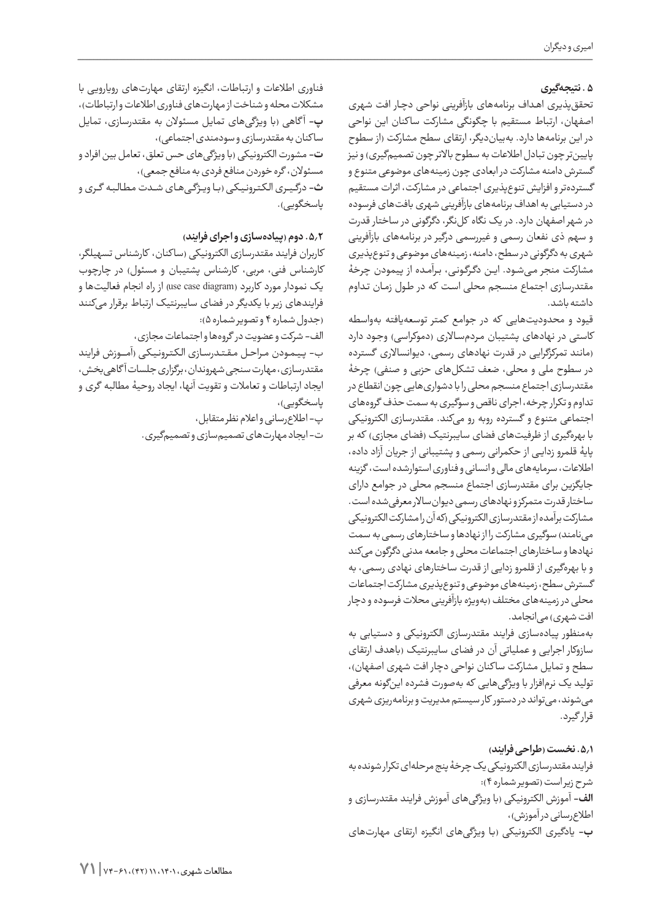# **.5 نتیجهگیری**

تحققپذیری اهـداف برنامههای بازآفرینی نواحی دچـار افت شهری اصفهان، ارتباط مستقیم با چگونگی مشارکت سا کنان این نواحی در این برنامهها دارد. بهبیاندیگر، ارتقای سطح مشارکت )از سطوح پایینتر چون تبادل اطلاعات به سطوح بالاتر چون تصمیمگیری) و نیز گسترش دامنه مشارکت در ابعادی چون زمینههای موضوعی متنوع و گستردهتر و افزایش تنوعپذیری اجتماعی در مشارکت، اثرات مستقیم در دستیابی به اهداف برنامههای بازآفرینی شهری بافتهای فرسوده در شهر اصفهان دارد. در یک نگاه کلنگر، دگرگونی در ساختار قدرت و سهم ذی نفعان رسمی و غیررسمی درگیر در برنامههای بازآفرینی شهری به دگرگونی در سطح، دامنه، زمینههای موضوعی و تنوعپذیری مشارکت منجر مـیشـود. ایـن دگـرگـونـی، بـرآمـده از پیمودن چرخۀ مقتدرسازی اجتماع منسجم محلی اسـت که در طـول زمـان تـداوم داشته باشد.

قیود و محدودیتهایی که در جوامع کمتر توسعهیافته بهواسطه کاستی در نهادهای پشتیبان مردمسالاری (دموکراسی) وجود دارد )مانند تمرکزگرایی در قدرت نهادهای رسمی، دیوانساالری گسترده در سطوح ملی و محلی، ضعف تشکلهای حزبی و صنفی) چرخۀ مقتدرسازی اجتماع منسجم محلی را با دشواریهایی چون انقطاع در تداوم و تکرار چرخه، اجرای ناقص و سوگیری به سمت حذف گروههای اجتماعی متنوع و گسترده روبه رو میکند. مقتدرسازی الکترونیکی با بهرهگیری از ظرفیتهای فضای سایبرنتیک (فضای مجازی) که بر پایۀ قلمرو زدایـی از حکمرانی رسمی و پشتیبانی از جریان آزاد داده، اطالعات، سرمایههای مالی و انسانی و فناوری استوارشده است، گزینه جایگزین برای مقتدرسازی اجتماع منسجم محلی در جوامع دارای ساختار قدرت متمرکز و نهادهای رسمی دیوانساالر معرفیشده است. مشارکت برآمده از مقتدرسازی الکترونیکی )که آن را مشارکت الکترونیکی مینامند) سوگیری مشارکت را از نهادها و ساختارهای رسمی به سمت نهادها و ساختارهای اجتماعات محلی و جامعه مدنی دگرگون میکند و با بهرهگیری از قلمرو زدایی از قدرت ساختارهای نهادی رسمی، به گسترش سطح، زمینههای موضوعی و تنوعپذیری مشارکت اجتماعات محلی در زمینههای مختلف )بهویژه بازآفرینی محالت فرسوده و دچار افت شهری) می|نجامد.

بهمنظور پیادهسازی فرایند مقتدرسازی الکترونیکی و دستیابی به سازوکار اجرایی و عملیاتی آن در فضای سایبرنتیک )باهدف ارتقای سطح و تمایل مشارکت ساکنان نواحی دچار افت شهری اصفهان)، تولید یک نرمافزار با ویژگیهایی که بهصورت فشرده اینگونه معرفی میشوند، میتواند در دستور کار سیستم مدیریت و برنامهریزی شهری قرار گیرد.

**.5.1 نخست )طراحی فرایند(** فرایند مقتدرسازی الکترونیکی یک چرخۀ پنج مرحلهای تکرار شونده به شرح زیر است )تصویر شماره 4(: **الف-** آموزش الکترونیکی )با ویژگیهای آموزش فرایند مقتدرسازی و اطلاعرسانی در آموزش)، **ب-** یادگیری الکترونیکی )بـا ویژگیهای انگیزه ارتقای مهارتهای

فناوری اطالعات و ارتباطات، انگیزه ارتقای مهارتهای رویارویی با مشکلات محله و شناخت از مهارت های فناوری اطلاعات و ارتباطات)، **پ**- آگاهی (با ویژگیهای تمایل مسئولان به مقتدرسازی، تمایل سا کنان به مقتدرسازی و سودمندی اجتماعی(، **ت-** مشورت الکترونیکی )با ویژگیهای حس تعلق، تعامل بین افراد و مسئولان، گره خوردن منافع فردی به منافع جمعی)، **ث-** درگــیــری الـکـتـرونـیـکـی )بـــا ویــژگــیهــای شـــدت مـطـالـبـه گـــری و یاسخگویے).

# **.5.2 دوم )پیادهسازی و اجرای فرایند(**

کاربران فرایند مقتدرسازی الکترونیکی (ساکنان، کارشناس تسهیلگر، کارشناس فنی، مربی، کارشناس پشتیبان و مسئول) در چارچوب یک نمودار مورد کاربرد (use case diagram) از راه انجام فعالیتها و فرایندهای زیر با یکدیگر در فضای سایبرنتیک ارتباط برقرار میکنند )جدول شماره 4 و تصویر شماره 5(:

الف- شرکت و عضویت در گروهها و اجتماعات مجازی،

ب- پـیـمـودن مــراحــل مـقـتـدرسـازی الـکـتـرونـیـکـی )آمـــــوزش فرایند مقتدرسازی، مهارت سنجی شهروندان، برگزاری جلسات آ گاهیبخش، ایجاد ارتباطات و تعامالت و تقویت آنها، ایجاد روحیۀ مطالبه گری و یاسخگویے)،

> پ- اطالعرسانی و اعالم نظر متقابل، ت- ایجاد مهارتهای تصمیمسازی و تصمیمگیری.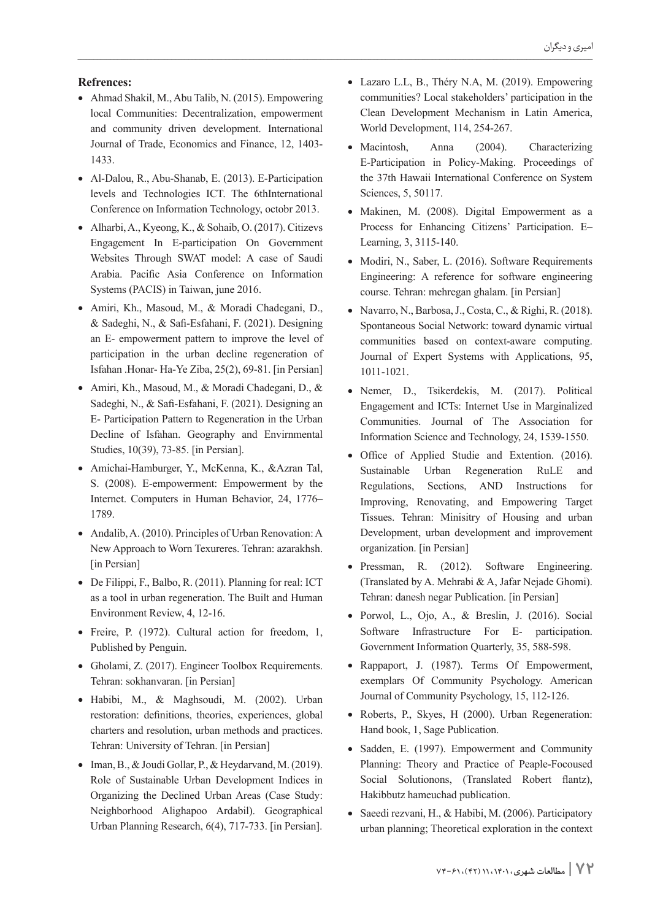#### **:Refrences**

- Ahmad Shakil, M., Abu Talib, N. (2015). Empowering local Communities: Decentralization, empowerment and community driven development. International Journal of Trade, Economics and Finance, 12, 1403-1433.
- Al-Dalou, R., Abu-Shanab, E. (2013). E-Participation levels and Technologies ICT. The 6thInternational Conference on Information Technology, octobr 2013.
- Alharbi, A., Kyeong, K., & Sohaib, O. (2017). Citizevs Engagement In E-participation On Government Websites Through SWAT model: A case of Saudi Arabia. Pacific Asia Conference on Information Systems (PACIS) in Taiwan, june 2016.
- Amiri, Kh., Masoud, M., & Moradi Chadegani, D.,  $&$  Sadeghi, N.,  $&$  Safi-Esfahani, F. (2021). Designing an E- empowerment pattern to improve the level of participation in the urban decline regeneration of Isfahan .Honar- Ha-Ye Ziba, 25(2), 69-81. [in Persian]
- $\bullet$  Amiri, Kh., Masoud, M., & Moradi Chadegani, D., & Sadeghi, N., & Safi-Esfahani, F. (2021). Designing an E- Participation Pattern to Regeneration in the Urban Decline of Isfahan. Geography and Envirnmental Studies, 10(39), 73-85. [in Persian].
- Amichai-Hamburger, Y., McKenna, K., &Azran Tal, S. (2008). E-empowerment: Empowerment by the Internet. Computers in Human Behavior, 24, 1776– 1789.
- Andalib, A. (2010). Principles of Urban Renovation: A New Approach to Worn Texureres. Tehran: azarakhsh. [in Persian]
- $\bullet$  De Filippi, F., Balbo, R. (2011). Planning for real: ICT as a tool in urban regeneration. The Built and Human Environment Review, 4, 12-16.
- Freire, P. (1972). Cultural action for freedom, 1, Published by Penguin.
- Gholami, Z. (2017). Engineer Toolbox Requirements. Tehran: sokhanvaran. [in Persian]
- Habibi, M., & Maghsoudi, M. (2002). Urban restoration: definitions, theories, experiences, global charters and resolution, urban methods and practices. Tehran: University of Tehran. [in Persian]
- Iman, B.,  $\&$  Joudi Gollar, P.,  $\&$  Heydarvand, M. (2019). Role of Sustainable Urban Development Indices in Organizing the Declined Urban Areas (Case Study: Neighborhood Alighapoo Ardabil). Geographical Urban Planning Research, 6(4), 717-733. [in Persian].
- Lazaro L.L, B., Théry N.A, M. (2019). Empowering communities? Local stakeholders' participation in the Clean Development Mechanism in Latin America, World Development, 114, 254-267.
- Macintosh, Anna (2004). Characterizing E-Participation in Policy-Making. Proceedings of the 37th Hawaii International Conference on System Sciences, 5, 50117.
- Makinen, M. (2008). Digital Empowerment as a Process for Enhancing Citizens' Participation. E-Learning, 3, 3115-140.
- Modiri, N., Saber, L. (2016). Software Requirements Engineering: A reference for software engineering course. Tehran: mehregan ghalam. [in Persian]
- Navarro, N., Barbosa, J., Costa, C., & Righi, R. (2018). Spontaneous Social Network: toward dynamic virtual communities based on context-aware computing. Journal of Expert Systems with Applications, 95, 1011-1021.
- Nemer, D., Tsikerdekis, M. (2017). Political Engagement and ICTs: Internet Use in Marginalized Communities. Journal of The Association for Information Science and Technology, 24, 1539-1550.
- Office of Applied Studie and Extention. (2016). Sustainable Urban Regeneration RuLE and Regulations, Sections, AND Instructions for Improving, Renovating, and Empowering Target Tissues. Tehran: Minisitry of Housing and urban Development, urban development and improvement organization. [in Persian]
- Pressman, R. (2012). Software Engineering. (Translated by A. Mehrabi & A. Jafar Nejade Ghomi). Tehran: danesh negar Publication. [in Persian]
- Porwol, L., Ojo, A., & Breslin, J. (2016). Social Software Infrastructure For E- participation. Government Information Quarterly, 35, 588-598.
- Rappaport, J. (1987). Terms Of Empowerment, exemplars Of Community Psychology. American Journal of Community Psychology, 15, 112-126.
- Roberts, P., Skyes, H (2000). Urban Regeneration: Hand book, 1, Sage Publication.
- Sadden, E. (1997). Empowerment and Community Planning: Theory and Practice of Peaple-Focoused Social Solutionons, (Translated Robert flantz), Hakibbutz hameuchad publication.
- Saeedi rezvani, H., & Habibi, M. (2006). Participatory urban planning; Theoretical exploration in the context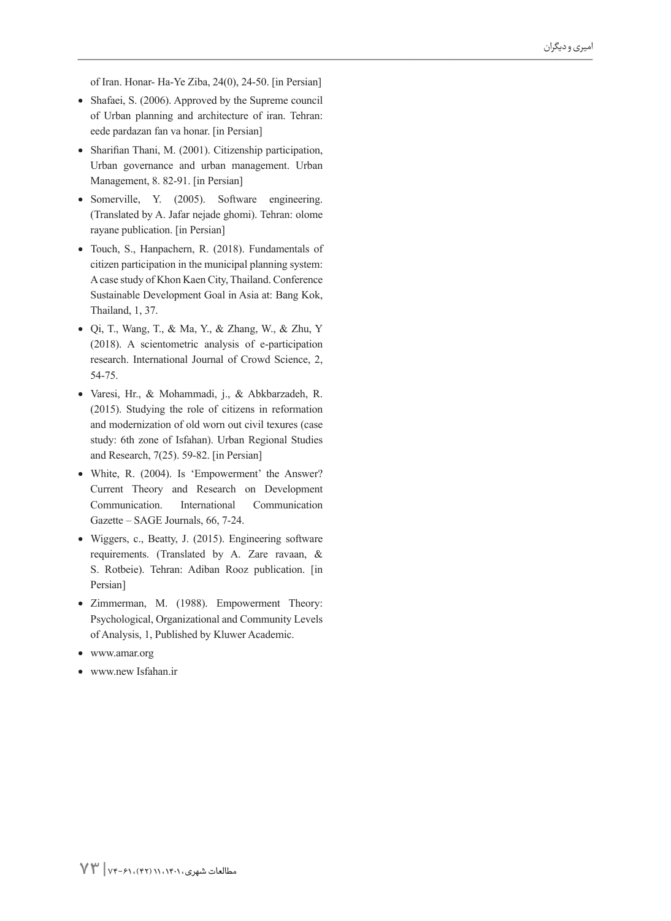of Iran. Honar- Ha-Ye Ziba, 24(0), 24-50. [in Persian]

- Shafaei, S. (2006). Approved by the Supreme council of Urban planning and architecture of iran. Tehran: eede pardazan fan va honar. [in Persian]
- Sharifian Thani, M. (2001). Citizenship participation, Urban governance and urban management. Urban Management, 8. 82-91. [in Persian]
- Somerville, Y. (2005). Software engineering. (Translated by A. Jafar nejade ghomi). Tehran: olome rayane publication. [in Persian]
- Touch, S., Hanpachern, R. (2018). Fundamentals of citizen participation in the municipal planning system: A case study of Khon Kaen City, Thailand. Conference Sustainable Development Goal in Asia at: Bang Kok, Thailand, 1, 37.
- Qi, T., Wang, T., & Ma, Y., & Zhang, W., & Zhu, Y  $(2018)$ . A scientometric analysis of e-participation research. International Journal of Crowd Science, 2, 54-75.
- · Varesi, Hr., & Mohammadi, j., & Abkbarzadeh, R.  $(2015)$ . Studying the role of citizens in reformation and modernization of old worn out civil texures (case study: 6th zone of Isfahan). Urban Regional Studies and Research,  $7(25)$ . 59-82. [in Persian]
- White, R. (2004). Is 'Empowerment' the Answer? Current Theory and Research on Development Communication. International Communication Gazette – SAGE Journals, 66, 7-24.
- Wiggers, c., Beatty, J. (2015). Engineering software requirements. (Translated by A. Zare ravaan,  $\&$ S. Rotbeie). Tehran: Adiban Rooz publication. [in Persian]
- · Zimmerman, M. (1988). Empowerment Theory: Psychological, Organizational and Community Levels of Analysis, 1, Published by Kluwer Academic.
- www.amar.org
- www.new Isfahan.ir